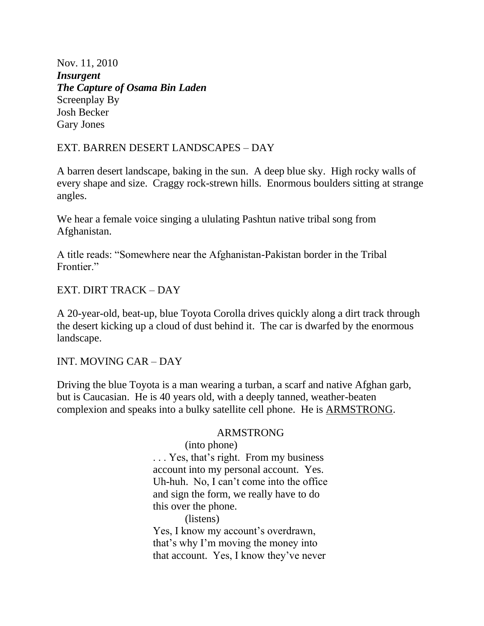Nov. 11, 2010 *Insurgent The Capture of Osama Bin Laden* Screenplay By Josh Becker Gary Jones

## EXT. BARREN DESERT LANDSCAPES – DAY

A barren desert landscape, baking in the sun. A deep blue sky. High rocky walls of every shape and size. Craggy rock-strewn hills. Enormous boulders sitting at strange angles.

We hear a female voice singing a ululating Pashtun native tribal song from Afghanistan.

A title reads: "Somewhere near the Afghanistan-Pakistan border in the Tribal Frontier."

## EXT. DIRT TRACK – DAY

A 20-year-old, beat-up, blue Toyota Corolla drives quickly along a dirt track through the desert kicking up a cloud of dust behind it. The car is dwarfed by the enormous landscape.

INT. MOVING CAR – DAY

Driving the blue Toyota is a man wearing a turban, a scarf and native Afghan garb, but is Caucasian. He is 40 years old, with a deeply tanned, weather-beaten complexion and speaks into a bulky satellite cell phone. He is ARMSTRONG.

### ARMSTRONG

 (into phone) . . . Yes, that's right. From my business account into my personal account. Yes. Uh-huh. No, I can't come into the office and sign the form, we really have to do this over the phone. (listens) Yes, I know my account's overdrawn, that's why I'm moving the money into that account. Yes, I know they've never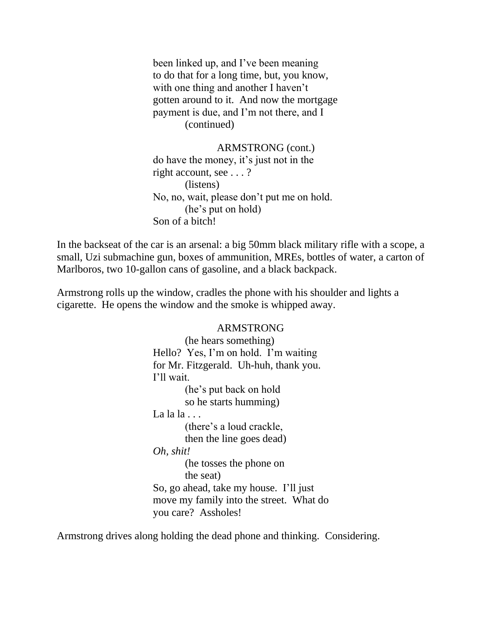been linked up, and I've been meaning to do that for a long time, but, you know, with one thing and another I haven't gotten around to it. And now the mortgage payment is due, and I'm not there, and I (continued)

 ARMSTRONG (cont.) do have the money, it's just not in the right account, see . . . ? (listens) No, no, wait, please don't put me on hold. (he's put on hold) Son of a bitch!

In the backseat of the car is an arsenal: a big 50mm black military rifle with a scope, a small, Uzi submachine gun, boxes of ammunition, MREs, bottles of water, a carton of Marlboros, two 10-gallon cans of gasoline, and a black backpack.

Armstrong rolls up the window, cradles the phone with his shoulder and lights a cigarette. He opens the window and the smoke is whipped away.

#### ARMSTRONG

 (he hears something) Hello? Yes, I'm on hold. I'm waiting for Mr. Fitzgerald. Uh-huh, thank you. I'll wait. (he's put back on hold so he starts humming) La  $la$  la  $\ldots$  (there's a loud crackle, then the line goes dead) *Oh, shit!* (he tosses the phone on the seat) So, go ahead, take my house. I'll just move my family into the street. What do you care? Assholes!

Armstrong drives along holding the dead phone and thinking. Considering.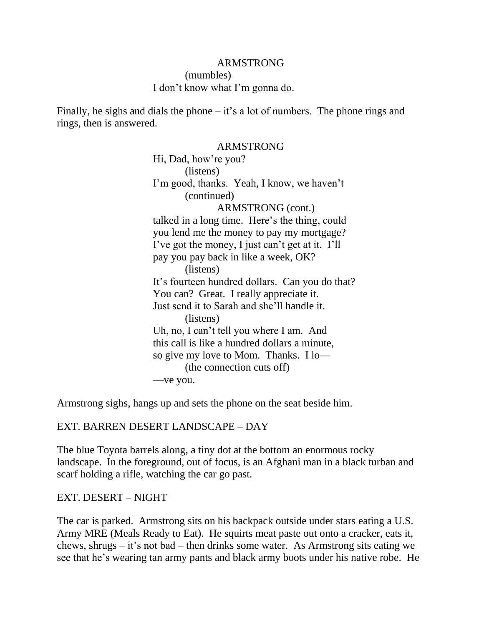(mumbles) I don't know what I'm gonna do.

Finally, he sighs and dials the phone – it's a lot of numbers. The phone rings and rings, then is answered.

#### ARMSTRONG

 Hi, Dad, how're you? (listens) I'm good, thanks. Yeah, I know, we haven't (continued) ARMSTRONG (cont.) talked in a long time. Here's the thing, could you lend me the money to pay my mortgage? I've got the money, I just can't get at it. I'll pay you pay back in like a week, OK? (listens) It's fourteen hundred dollars. Can you do that? You can? Great. I really appreciate it. Just send it to Sarah and she'll handle it. (listens) Uh, no, I can't tell you where I am. And this call is like a hundred dollars a minute, so give my love to Mom. Thanks. I lo— (the connection cuts off) —ve you.

Armstrong sighs, hangs up and sets the phone on the seat beside him.

### EXT. BARREN DESERT LANDSCAPE – DAY

The blue Toyota barrels along, a tiny dot at the bottom an enormous rocky landscape. In the foreground, out of focus, is an Afghani man in a black turban and scarf holding a rifle, watching the car go past.

### EXT. DESERT – NIGHT

The car is parked. Armstrong sits on his backpack outside under stars eating a U.S. Army MRE (Meals Ready to Eat). He squirts meat paste out onto a cracker, eats it, chews, shrugs – it's not bad – then drinks some water. As Armstrong sits eating we see that he's wearing tan army pants and black army boots under his native robe. He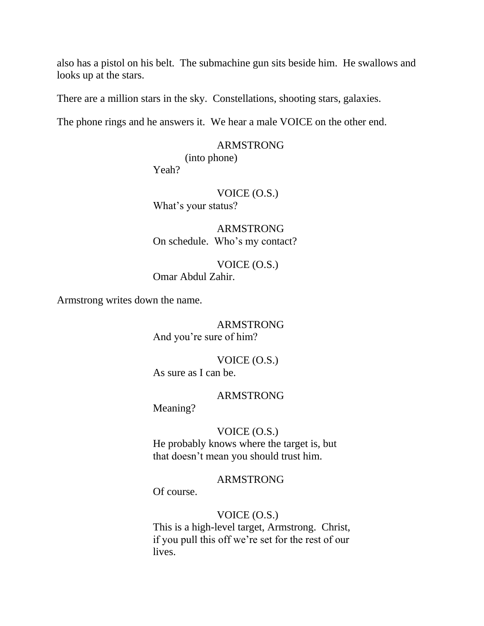also has a pistol on his belt. The submachine gun sits beside him. He swallows and looks up at the stars.

There are a million stars in the sky. Constellations, shooting stars, galaxies.

The phone rings and he answers it. We hear a male VOICE on the other end.

#### ARMSTRONG

(into phone)

Yeah?

# VOICE (O.S.) What's your status?

 ARMSTRONG On schedule. Who's my contact?

## VOICE (O.S.) Omar Abdul Zahir.

Armstrong writes down the name.

 ARMSTRONG And you're sure of him?

 VOICE (O.S.) As sure as I can be.

### ARMSTRONG

Meaning?

## VOICE (O.S.)

 He probably knows where the target is, but that doesn't mean you should trust him.

## ARMSTRONG

Of course.

### VOICE (O.S.)

 This is a high-level target, Armstrong. Christ, if you pull this off we're set for the rest of our lives.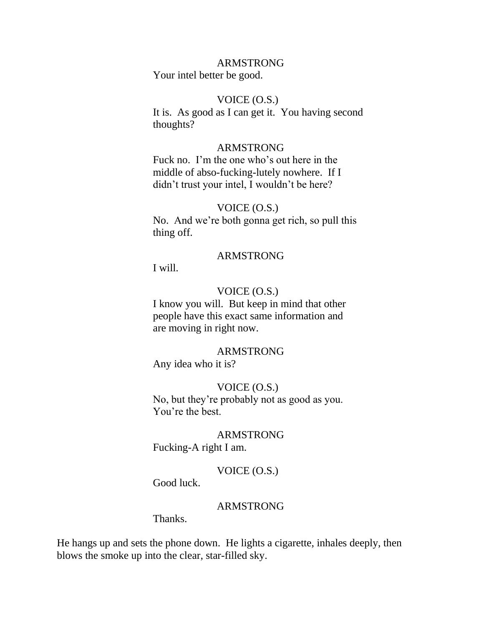Your intel better be good.

### VOICE (O.S.)

 It is. As good as I can get it. You having second thoughts?

#### ARMSTRONG

 Fuck no. I'm the one who's out here in the middle of abso-fucking-lutely nowhere. If I didn't trust your intel, I wouldn't be here?

### VOICE (O.S.)

 No. And we're both gonna get rich, so pull this thing off.

### ARMSTRONG

I will.

#### VOICE (O.S.)

 I know you will. But keep in mind that other people have this exact same information and are moving in right now.

### ARMSTRONG

Any idea who it is?

### VOICE (O.S.)

 No, but they're probably not as good as you. You're the best.

### ARMSTRONG

Fucking-A right I am.

## VOICE (O.S.)

Good luck.

### ARMSTRONG

Thanks.

He hangs up and sets the phone down. He lights a cigarette, inhales deeply, then blows the smoke up into the clear, star-filled sky.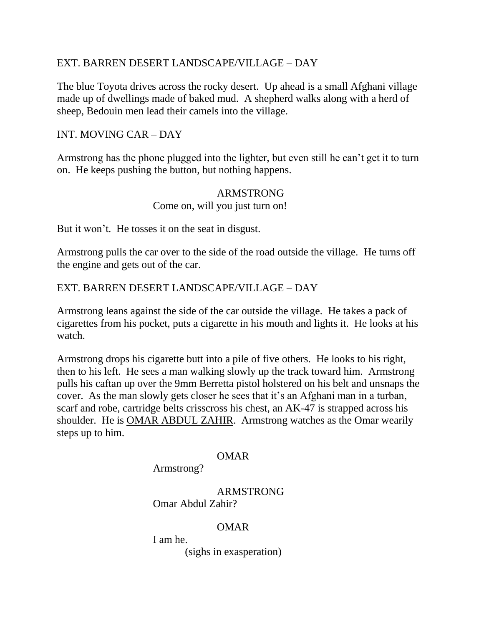## EXT. BARREN DESERT LANDSCAPE/VILLAGE – DAY

The blue Toyota drives across the rocky desert. Up ahead is a small Afghani village made up of dwellings made of baked mud. A shepherd walks along with a herd of sheep, Bedouin men lead their camels into the village.

# INT. MOVING CAR – DAY

Armstrong has the phone plugged into the lighter, but even still he can't get it to turn on. He keeps pushing the button, but nothing happens.

# ARMSTRONG

## Come on, will you just turn on!

But it won't. He tosses it on the seat in disgust.

Armstrong pulls the car over to the side of the road outside the village. He turns off the engine and gets out of the car.

# EXT. BARREN DESERT LANDSCAPE/VILLAGE – DAY

Armstrong leans against the side of the car outside the village. He takes a pack of cigarettes from his pocket, puts a cigarette in his mouth and lights it. He looks at his watch.

Armstrong drops his cigarette butt into a pile of five others. He looks to his right, then to his left. He sees a man walking slowly up the track toward him. Armstrong pulls his caftan up over the 9mm Berretta pistol holstered on his belt and unsnaps the cover. As the man slowly gets closer he sees that it's an Afghani man in a turban, scarf and robe, cartridge belts crisscross his chest, an AK-47 is strapped across his shoulder. He is OMAR ABDUL ZAHIR. Armstrong watches as the Omar wearily steps up to him.

## OMAR

Armstrong?

 ARMSTRONG Omar Abdul Zahir?

## OMAR

I am he.

(sighs in exasperation)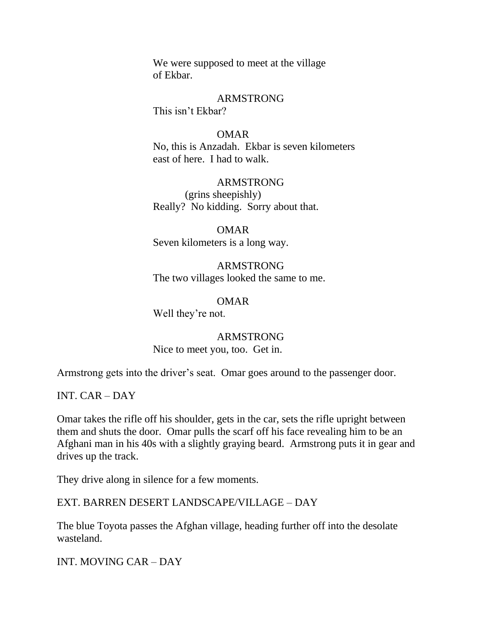We were supposed to meet at the village of Ekbar.

### ARMSTRONG

This isn't Ekbar?

## OMAR

 No, this is Anzadah. Ekbar is seven kilometers east of here. I had to walk.

# ARMSTRONG

 (grins sheepishly) Really? No kidding. Sorry about that.

 OMAR Seven kilometers is a long way.

 ARMSTRONG The two villages looked the same to me.

OMAR

Well they're not.

# ARMSTRONG

Nice to meet you, too. Get in.

Armstrong gets into the driver's seat. Omar goes around to the passenger door.

INT. CAR – DAY

Omar takes the rifle off his shoulder, gets in the car, sets the rifle upright between them and shuts the door. Omar pulls the scarf off his face revealing him to be an Afghani man in his 40s with a slightly graying beard. Armstrong puts it in gear and drives up the track.

They drive along in silence for a few moments.

## EXT. BARREN DESERT LANDSCAPE/VILLAGE – DAY

The blue Toyota passes the Afghan village, heading further off into the desolate wasteland.

INT. MOVING CAR – DAY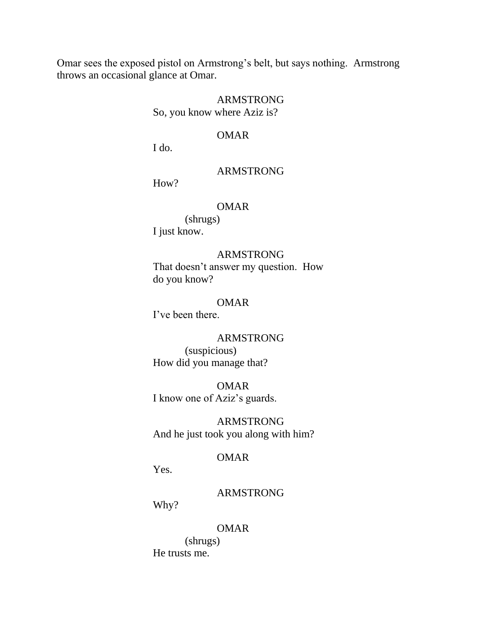Omar sees the exposed pistol on Armstrong's belt, but says nothing. Armstrong throws an occasional glance at Omar.

#### ARMSTRONG

So, you know where Aziz is?

### OMAR

I do.

### ARMSTRONG

How?

## OMAR

 (shrugs) I just know.

## ARMSTRONG

 That doesn't answer my question. How do you know?

### OMAR

I've been there.

### ARMSTRONG

 (suspicious) How did you manage that?

 OMAR I know one of Aziz's guards.

 ARMSTRONG And he just took you along with him?

### OMAR

Yes.

## ARMSTRONG

Why?

#### OMAR

 (shrugs) He trusts me.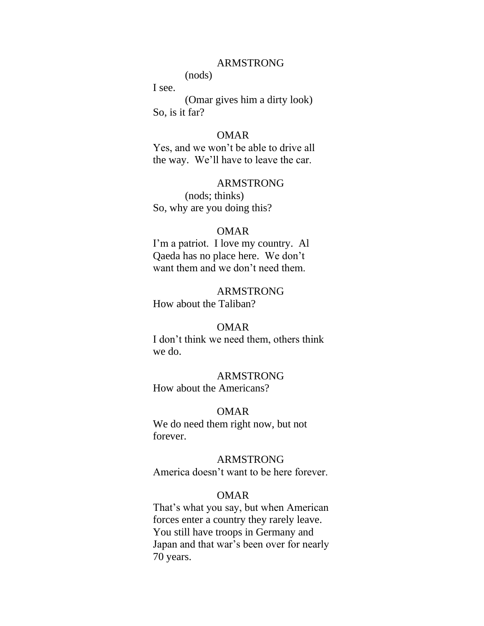(nods)

I see.

 (Omar gives him a dirty look) So, is it far?

### OMAR

 Yes, and we won't be able to drive all the way. We'll have to leave the car.

### ARMSTRONG

 (nods; thinks) So, why are you doing this?

#### OMAR

 I'm a patriot. I love my country. Al Qaeda has no place here. We don't want them and we don't need them.

### ARMSTRONG How about the Taliban?

### OMAR

 I don't think we need them, others think we do.

#### ARMSTRONG

How about the Americans?

#### OMAR

 We do need them right now, but not forever.

### ARMSTRONG

America doesn't want to be here forever.

#### OMAR

 That's what you say, but when American forces enter a country they rarely leave. You still have troops in Germany and Japan and that war's been over for nearly 70 years.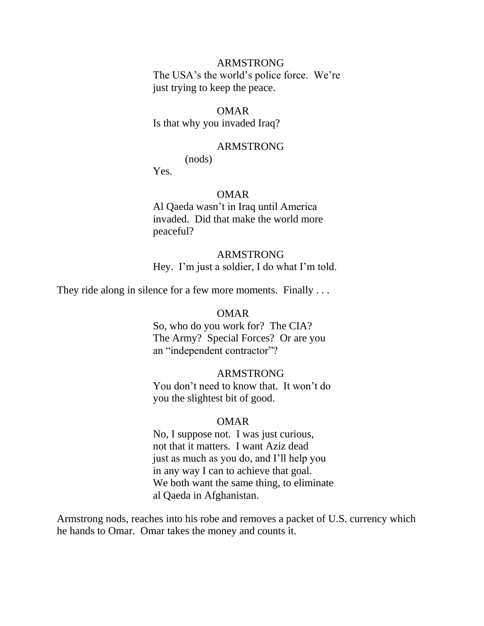The USA's the world's police force. We're just trying to keep the peace.

#### OMAR

Is that why you invaded Iraq?

#### ARMSTRONG

(nods)

Yes.

### OMAR

 Al Qaeda wasn't in Iraq until America invaded. Did that make the world more peaceful?

#### ARMSTRONG

Hey. I'm just a soldier, I do what I'm told.

They ride along in silence for a few more moments. Finally ...

#### OMAR

 So, who do you work for? The CIA? The Army? Special Forces? Or are you an "independent contractor"?

#### ARMSTRONG

 You don't need to know that. It won't do you the slightest bit of good.

#### OMAR

 No, I suppose not. I was just curious, not that it matters. I want Aziz dead just as much as you do, and I'll help you in any way I can to achieve that goal. We both want the same thing, to eliminate al Qaeda in Afghanistan.

Armstrong nods, reaches into his robe and removes a packet of U.S. currency which he hands to Omar. Omar takes the money and counts it.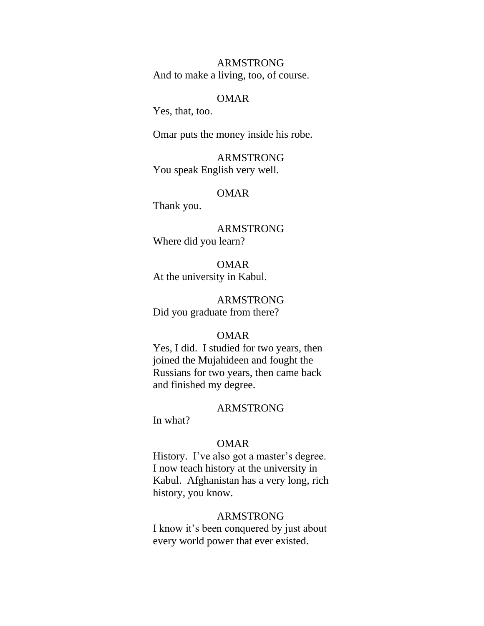And to make a living, too, of course.

#### OMAR

Yes, that, too.

Omar puts the money inside his robe.

 ARMSTRONG You speak English very well.

#### OMAR

Thank you.

 ARMSTRONG Where did you learn?

 OMAR At the university in Kabul.

 ARMSTRONG Did you graduate from there?

### OMAR

 Yes, I did. I studied for two years, then joined the Mujahideen and fought the Russians for two years, then came back and finished my degree.

#### ARMSTRONG

In what?

### OMAR

 History. I've also got a master's degree. I now teach history at the university in Kabul. Afghanistan has a very long, rich history, you know.

#### ARMSTRONG

 I know it's been conquered by just about every world power that ever existed.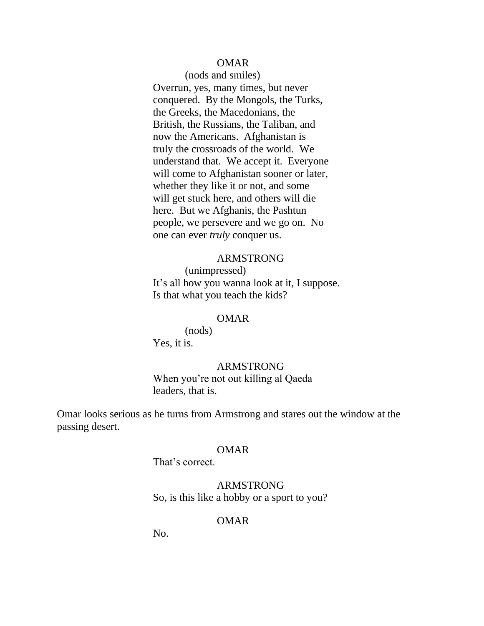### OMAR

 (nods and smiles) Overrun, yes, many times, but never conquered. By the Mongols, the Turks, the Greeks, the Macedonians, the British, the Russians, the Taliban, and now the Americans. Afghanistan is truly the crossroads of the world. We understand that. We accept it. Everyone will come to Afghanistan sooner or later, whether they like it or not, and some will get stuck here, and others will die here. But we Afghanis, the Pashtun people, we persevere and we go on. No one can ever *truly* conquer us.

### ARMSTRONG

 (unimpressed) It's all how you wanna look at it, I suppose. Is that what you teach the kids?

#### OMAR

 (nods) Yes, it is.

#### ARMSTRONG

 When you're not out killing al Qaeda leaders, that is.

Omar looks serious as he turns from Armstrong and stares out the window at the passing desert.

#### OMAR

That's correct.

 ARMSTRONG So, is this like a hobby or a sport to you?

### OMAR

No.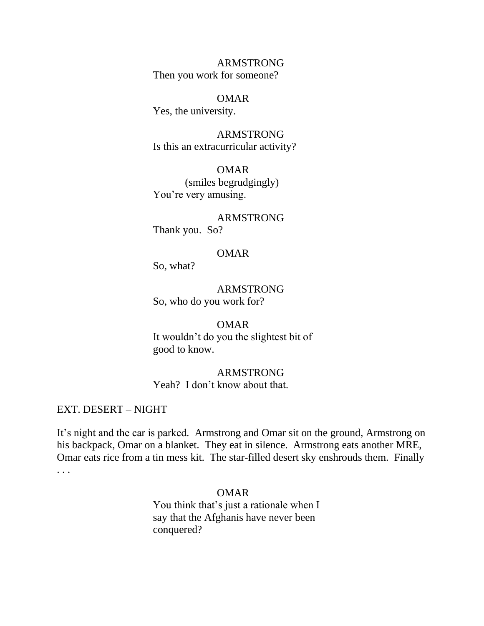ARMSTRONG Then you work for someone?

#### OMAR

Yes, the university.

 ARMSTRONG Is this an extracurricular activity?

 OMAR (smiles begrudgingly) You're very amusing.

ARMSTRONG

Thank you. So?

### OMAR

So, what?

 ARMSTRONG So, who do you work for?

#### OMAR

 It wouldn't do you the slightest bit of good to know.

 ARMSTRONG Yeah? I don't know about that.

EXT. DESERT – NIGHT

It's night and the car is parked. Armstrong and Omar sit on the ground, Armstrong on his backpack, Omar on a blanket. They eat in silence. Armstrong eats another MRE, Omar eats rice from a tin mess kit. The star-filled desert sky enshrouds them. Finally . . .

### OMAR

 You think that's just a rationale when I say that the Afghanis have never been conquered?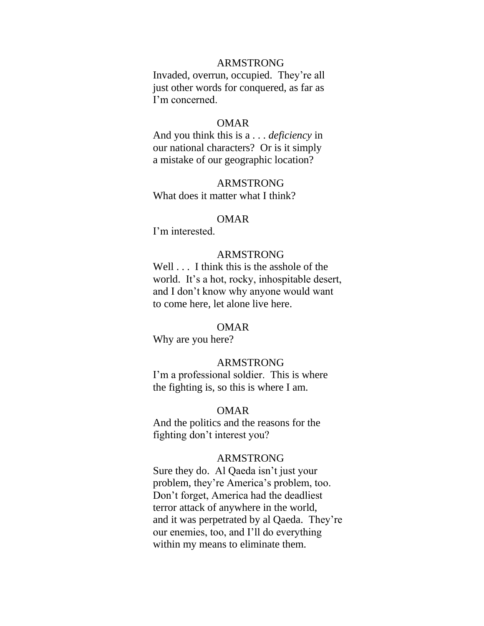Invaded, overrun, occupied. They're all just other words for conquered, as far as I'm concerned.

#### OMAR

 And you think this is a . . . *deficiency* in our national characters? Or is it simply a mistake of our geographic location?

 ARMSTRONG What does it matter what I think?

#### OMAR

I'm interested.

## ARMSTRONG

 Well . . . I think this is the asshole of the world. It's a hot, rocky, inhospitable desert, and I don't know why anyone would want to come here, let alone live here.

## OMAR

Why are you here?

### ARMSTRONG

 I'm a professional soldier. This is where the fighting is, so this is where I am.

### OMAR

 And the politics and the reasons for the fighting don't interest you?

### ARMSTRONG

 Sure they do. Al Qaeda isn't just your problem, they're America's problem, too. Don't forget, America had the deadliest terror attack of anywhere in the world, and it was perpetrated by al Qaeda. They're our enemies, too, and I'll do everything within my means to eliminate them.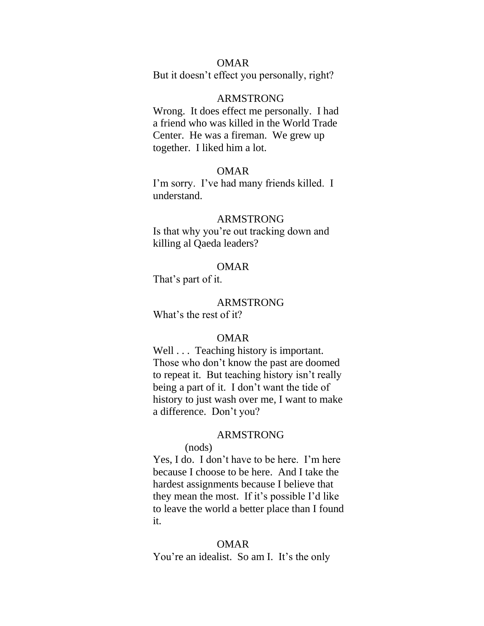### OMAR

But it doesn't effect you personally, right?

#### ARMSTRONG

 Wrong. It does effect me personally. I had a friend who was killed in the World Trade Center. He was a fireman. We grew up together. I liked him a lot.

### OMAR

 I'm sorry. I've had many friends killed. I understand.

### ARMSTRONG

 Is that why you're out tracking down and killing al Qaeda leaders?

### OMAR

That's part of it.

#### ARMSTRONG

What's the rest of it?

#### OMAR

Well . . . Teaching history is important. Those who don't know the past are doomed to repeat it. But teaching history isn't really being a part of it. I don't want the tide of history to just wash over me, I want to make a difference. Don't you?

#### ARMSTRONG

## (nods)

 Yes, I do. I don't have to be here. I'm here because I choose to be here. And I take the hardest assignments because I believe that they mean the most. If it's possible I'd like to leave the world a better place than I found it.

#### OMAR

You're an idealist. So am I. It's the only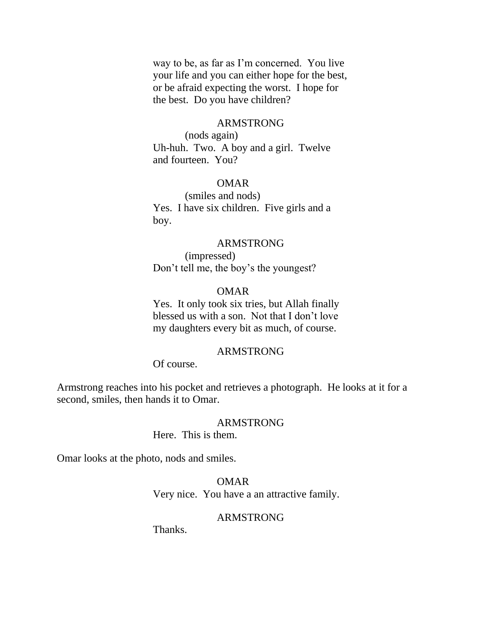way to be, as far as I'm concerned. You live your life and you can either hope for the best, or be afraid expecting the worst. I hope for the best. Do you have children?

#### ARMSTRONG

 (nods again) Uh-huh. Two. A boy and a girl. Twelve and fourteen. You?

### OMAR

 (smiles and nods) Yes. I have six children. Five girls and a boy.

### ARMSTRONG

 (impressed) Don't tell me, the boy's the youngest?

### OMAR

 Yes. It only took six tries, but Allah finally blessed us with a son. Not that I don't love my daughters every bit as much, of course.

### ARMSTRONG

Of course.

Armstrong reaches into his pocket and retrieves a photograph. He looks at it for a second, smiles, then hands it to Omar.

### ARMSTRONG

Here. This is them.

Omar looks at the photo, nods and smiles.

 OMAR Very nice. You have a an attractive family.

## ARMSTRONG

Thanks.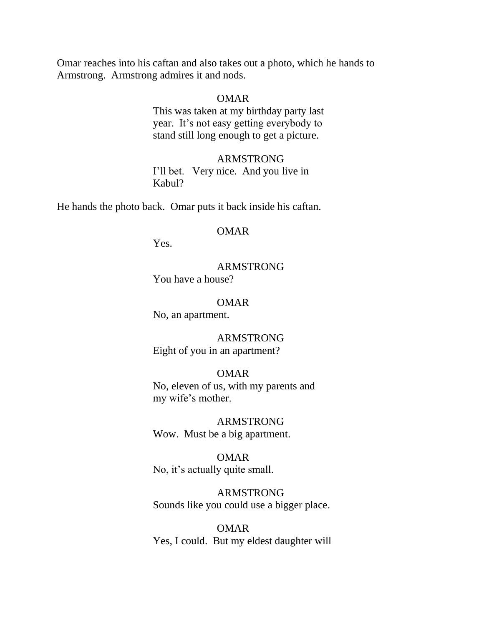Omar reaches into his caftan and also takes out a photo, which he hands to Armstrong. Armstrong admires it and nods.

#### OMAR

 This was taken at my birthday party last year. It's not easy getting everybody to stand still long enough to get a picture.

 ARMSTRONG I'll bet. Very nice. And you live in Kabul?

He hands the photo back. Omar puts it back inside his caftan.

#### OMAR

Yes.

# ARMSTRONG

You have a house?

#### OMAR

No, an apartment.

 ARMSTRONG Eight of you in an apartment?

#### OMAR

 No, eleven of us, with my parents and my wife's mother.

 ARMSTRONG Wow. Must be a big apartment.

## OMAR

No, it's actually quite small.

 ARMSTRONG Sounds like you could use a bigger place.

 OMAR Yes, I could. But my eldest daughter will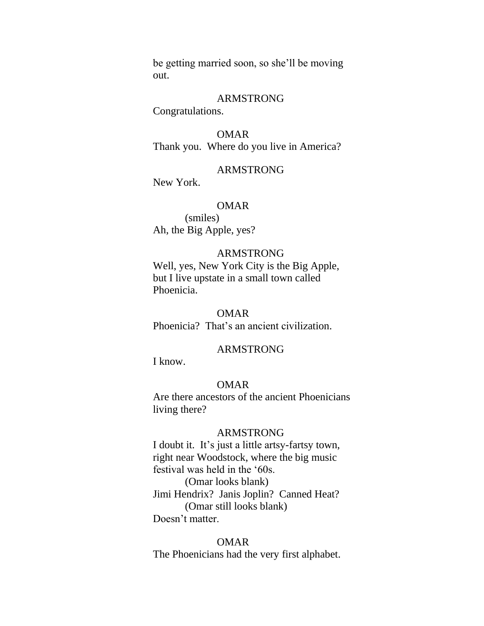be getting married soon, so she'll be moving out.

#### ARMSTRONG

Congratulations.

 OMAR Thank you. Where do you live in America?

### ARMSTRONG

New York.

### OMAR

 (smiles) Ah, the Big Apple, yes?

## ARMSTRONG

 Well, yes, New York City is the Big Apple, but I live upstate in a small town called Phoenicia.

#### OMAR

Phoenicia? That's an ancient civilization.

### ARMSTRONG

I know.

### OMAR

 Are there ancestors of the ancient Phoenicians living there?

### ARMSTRONG

 I doubt it. It's just a little artsy-fartsy town, right near Woodstock, where the big music festival was held in the '60s. (Omar looks blank) Jimi Hendrix? Janis Joplin? Canned Heat? (Omar still looks blank) Doesn't matter.

#### OMAR

The Phoenicians had the very first alphabet.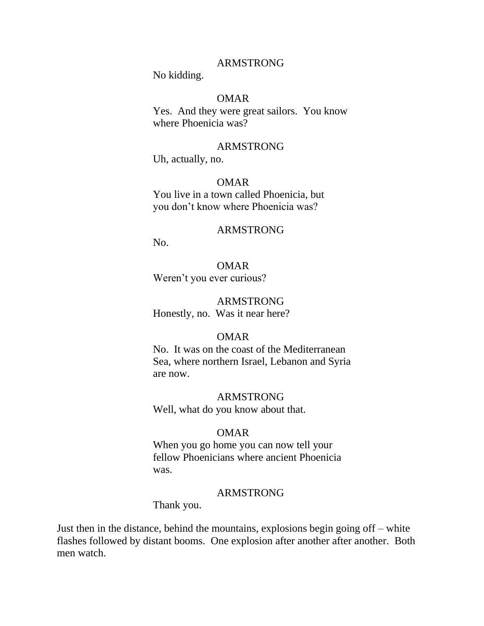No kidding.

### OMAR

 Yes. And they were great sailors. You know where Phoenicia was?

#### ARMSTRONG

Uh, actually, no.

### OMAR

 You live in a town called Phoenicia, but you don't know where Phoenicia was?

#### ARMSTRONG

No.

#### OMAR

Weren't you ever curious?

### ARMSTRONG

Honestly, no. Was it near here?

#### OMAR

 No. It was on the coast of the Mediterranean Sea, where northern Israel, Lebanon and Syria are now.

#### ARMSTRONG

Well, what do you know about that.

#### OMAR

 When you go home you can now tell your fellow Phoenicians where ancient Phoenicia was.

#### ARMSTRONG

Thank you.

Just then in the distance, behind the mountains, explosions begin going off – white flashes followed by distant booms. One explosion after another after another. Both men watch.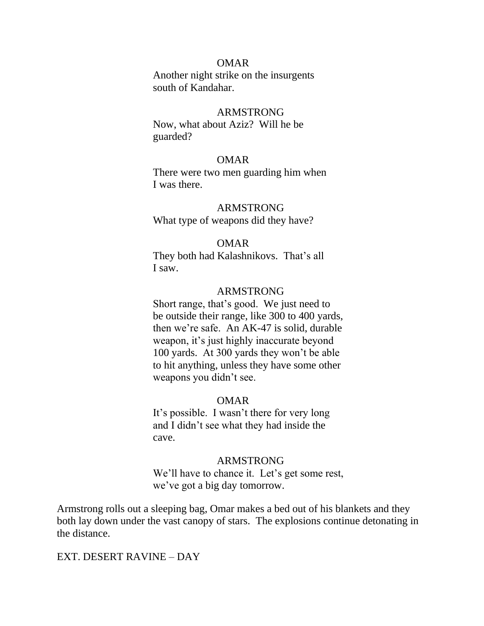#### OMAR

 Another night strike on the insurgents south of Kandahar.

### ARMSTRONG

 Now, what about Aziz? Will he be guarded?

#### OMAR

 There were two men guarding him when I was there.

#### ARMSTRONG

What type of weapons did they have?

#### OMAR

 They both had Kalashnikovs. That's all I saw.

### ARMSTRONG

 Short range, that's good. We just need to be outside their range, like 300 to 400 yards, then we're safe. An AK-47 is solid, durable weapon, it's just highly inaccurate beyond 100 yards. At 300 yards they won't be able to hit anything, unless they have some other weapons you didn't see.

#### OMAR

 It's possible. I wasn't there for very long and I didn't see what they had inside the cave.

#### ARMSTRONG

We'll have to chance it. Let's get some rest, we've got a big day tomorrow.

Armstrong rolls out a sleeping bag, Omar makes a bed out of his blankets and they both lay down under the vast canopy of stars. The explosions continue detonating in the distance.

#### EXT. DESERT RAVINE – DAY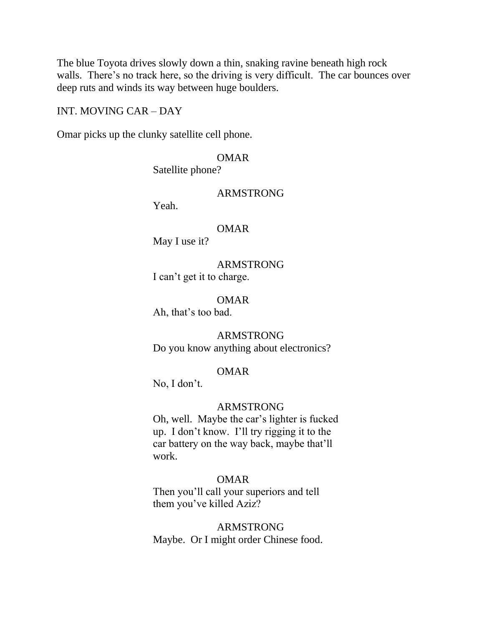The blue Toyota drives slowly down a thin, snaking ravine beneath high rock walls. There's no track here, so the driving is very difficult. The car bounces over deep ruts and winds its way between huge boulders.

#### INT. MOVING CAR – DAY

Omar picks up the clunky satellite cell phone.

## OMAR

Satellite phone?

### ARMSTRONG

Yeah.

#### OMAR

May I use it?

 ARMSTRONG I can't get it to charge.

### OMAR

Ah, that's too bad.

### ARMSTRONG

Do you know anything about electronics?

## OMAR

No, I don't.

#### ARMSTRONG

 Oh, well. Maybe the car's lighter is fucked up. I don't know. I'll try rigging it to the car battery on the way back, maybe that'll work.

## OMAR

 Then you'll call your superiors and tell them you've killed Aziz?

# ARMSTRONG Maybe. Or I might order Chinese food.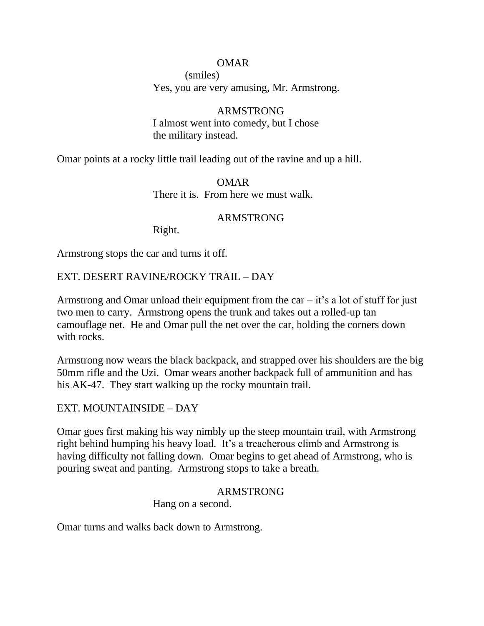## OMAR

 (smiles) Yes, you are very amusing, Mr. Armstrong.

## ARMSTRONG

 I almost went into comedy, but I chose the military instead.

Omar points at a rocky little trail leading out of the ravine and up a hill.

 OMAR There it is. From here we must walk.

## ARMSTRONG

Right.

Armstrong stops the car and turns it off.

EXT. DESERT RAVINE/ROCKY TRAIL – DAY

Armstrong and Omar unload their equipment from the car  $-$  it's a lot of stuff for just two men to carry. Armstrong opens the trunk and takes out a rolled-up tan camouflage net. He and Omar pull the net over the car, holding the corners down with rocks.

Armstrong now wears the black backpack, and strapped over his shoulders are the big 50mm rifle and the Uzi. Omar wears another backpack full of ammunition and has his AK-47. They start walking up the rocky mountain trail.

## EXT. MOUNTAINSIDE – DAY

Omar goes first making his way nimbly up the steep mountain trail, with Armstrong right behind humping his heavy load. It's a treacherous climb and Armstrong is having difficulty not falling down. Omar begins to get ahead of Armstrong, who is pouring sweat and panting. Armstrong stops to take a breath.

## ARMSTRONG

Hang on a second.

Omar turns and walks back down to Armstrong.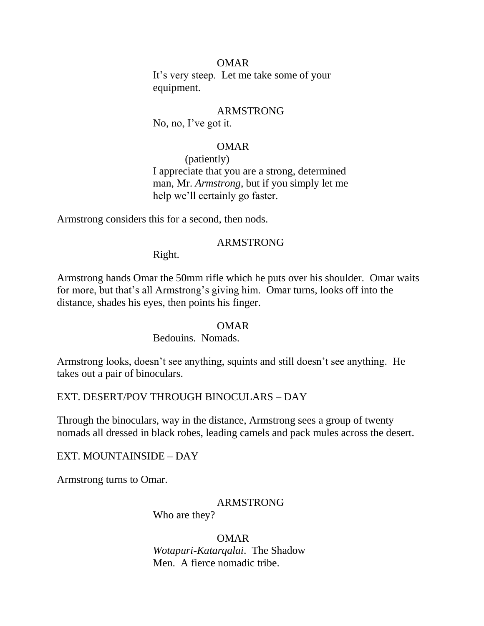### OMAR

 It's very steep. Let me take some of your equipment.

### ARMSTRONG

No, no, I've got it.

### OMAR

 (patiently) I appreciate that you are a strong, determined man, Mr. *Armstrong*, but if you simply let me help we'll certainly go faster.

Armstrong considers this for a second, then nods.

### ARMSTRONG

Right.

Armstrong hands Omar the 50mm rifle which he puts over his shoulder. Omar waits for more, but that's all Armstrong's giving him. Omar turns, looks off into the distance, shades his eyes, then points his finger.

#### OMAR

### Bedouins. Nomads.

Armstrong looks, doesn't see anything, squints and still doesn't see anything. He takes out a pair of binoculars.

### EXT. DESERT/POV THROUGH BINOCULARS – DAY

Through the binoculars, way in the distance, Armstrong sees a group of twenty nomads all dressed in black robes, leading camels and pack mules across the desert.

EXT. MOUNTAINSIDE – DAY

Armstrong turns to Omar.

### ARMSTRONG

Who are they?

#### OMAR

 *Wotapuri-Katarqalai*. The Shadow Men. A fierce nomadic tribe.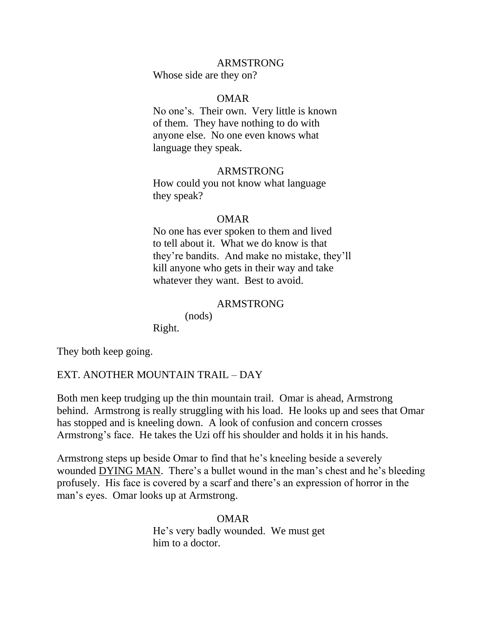Whose side are they on?

#### OMAR

 No one's. Their own. Very little is known of them. They have nothing to do with anyone else. No one even knows what language they speak.

### ARMSTRONG

 How could you not know what language they speak?

#### OMAR

 No one has ever spoken to them and lived to tell about it. What we do know is that they're bandits. And make no mistake, they'll kill anyone who gets in their way and take whatever they want. Best to avoid.

### ARMSTRONG

(nods)

Right.

They both keep going.

#### EXT. ANOTHER MOUNTAIN TRAIL – DAY

Both men keep trudging up the thin mountain trail. Omar is ahead, Armstrong behind. Armstrong is really struggling with his load. He looks up and sees that Omar has stopped and is kneeling down. A look of confusion and concern crosses Armstrong's face. He takes the Uzi off his shoulder and holds it in his hands.

Armstrong steps up beside Omar to find that he's kneeling beside a severely wounded DYING MAN. There's a bullet wound in the man's chest and he's bleeding profusely. His face is covered by a scarf and there's an expression of horror in the man's eyes. Omar looks up at Armstrong.

> OMAR He's very badly wounded. We must get him to a doctor.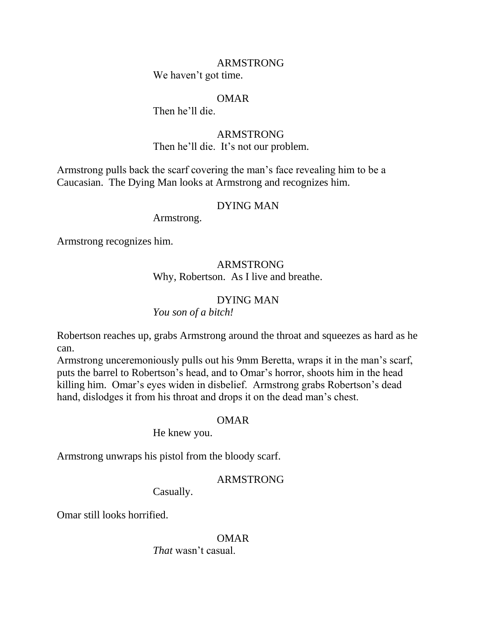We haven't got time.

### OMAR

Then he'll die.

## ARMSTRONG

Then he'll die. It's not our problem.

Armstrong pulls back the scarf covering the man's face revealing him to be a Caucasian. The Dying Man looks at Armstrong and recognizes him.

## DYING MAN

Armstrong.

Armstrong recognizes him.

# ARMSTRONG Why, Robertson. As I live and breathe.

# DYING MAN

## *You son of a bitch!*

Robertson reaches up, grabs Armstrong around the throat and squeezes as hard as he can.

Armstrong unceremoniously pulls out his 9mm Beretta, wraps it in the man's scarf, puts the barrel to Robertson's head, and to Omar's horror, shoots him in the head killing him. Omar's eyes widen in disbelief. Armstrong grabs Robertson's dead hand, dislodges it from his throat and drops it on the dead man's chest.

### OMAR

He knew you.

Armstrong unwraps his pistol from the bloody scarf.

## ARMSTRONG

Casually.

Omar still looks horrified.

 OMAR *That* wasn't casual.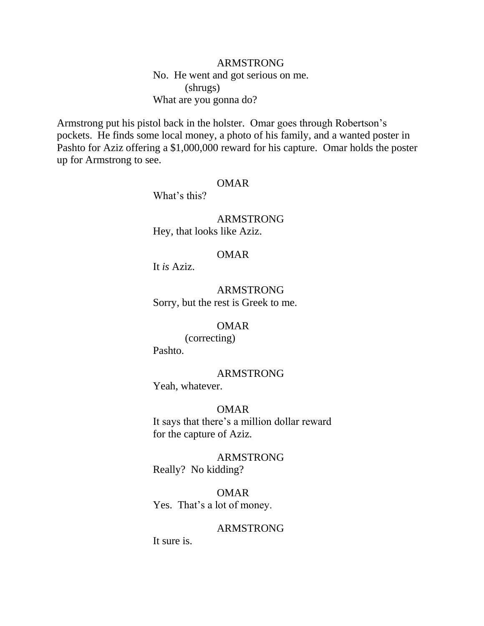# ARMSTRONG No. He went and got serious on me. (shrugs) What are you gonna do?

Armstrong put his pistol back in the holster. Omar goes through Robertson's pockets. He finds some local money, a photo of his family, and a wanted poster in Pashto for Aziz offering a \$1,000,000 reward for his capture. Omar holds the poster up for Armstrong to see.

## OMAR

What's this?

 ARMSTRONG Hey, that looks like Aziz.

### OMAR

It *is* Aziz.

 ARMSTRONG Sorry, but the rest is Greek to me.

## OMAR

 (correcting) Pashto.

### ARMSTRONG

Yeah, whatever.

## OMAR

 It says that there's a million dollar reward for the capture of Aziz.

 ARMSTRONG Really? No kidding?

 OMAR Yes. That's a lot of money.

#### ARMSTRONG

It sure is.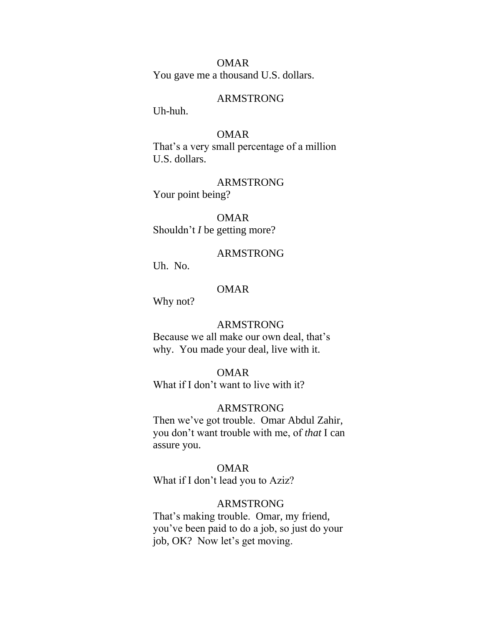OMAR You gave me a thousand U.S. dollars.

#### ARMSTRONG

Uh-huh.

### OMAR

 That's a very small percentage of a million U.S. dollars.

 ARMSTRONG Your point being?

 OMAR Shouldn't *I* be getting more?

### ARMSTRONG

Uh. No.

## OMAR

Why not?

### ARMSTRONG

 Because we all make our own deal, that's why. You made your deal, live with it.

#### OMAR

What if I don't want to live with it?

#### ARMSTRONG

 Then we've got trouble. Omar Abdul Zahir, you don't want trouble with me, of *that* I can assure you.

### OMAR

What if I don't lead you to Aziz?

#### ARMSTRONG

 That's making trouble. Omar, my friend, you've been paid to do a job, so just do your job, OK? Now let's get moving.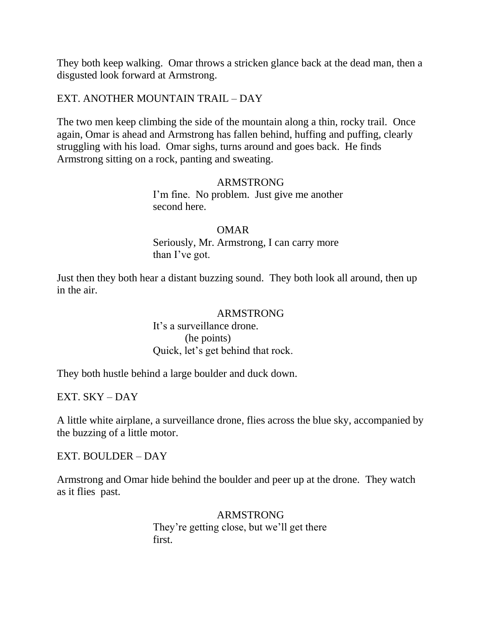They both keep walking. Omar throws a stricken glance back at the dead man, then a disgusted look forward at Armstrong.

## EXT. ANOTHER MOUNTAIN TRAIL – DAY

The two men keep climbing the side of the mountain along a thin, rocky trail. Once again, Omar is ahead and Armstrong has fallen behind, huffing and puffing, clearly struggling with his load. Omar sighs, turns around and goes back. He finds Armstrong sitting on a rock, panting and sweating.

### ARMSTRONG

 I'm fine. No problem. Just give me another second here.

#### OMAR

 Seriously, Mr. Armstrong, I can carry more than I've got.

Just then they both hear a distant buzzing sound. They both look all around, then up in the air.

#### ARMSTRONG

 It's a surveillance drone. (he points) Quick, let's get behind that rock.

They both hustle behind a large boulder and duck down.

EXT. SKY – DAY

A little white airplane, a surveillance drone, flies across the blue sky, accompanied by the buzzing of a little motor.

EXT. BOULDER – DAY

Armstrong and Omar hide behind the boulder and peer up at the drone. They watch as it flies past.

> ARMSTRONG They're getting close, but we'll get there first.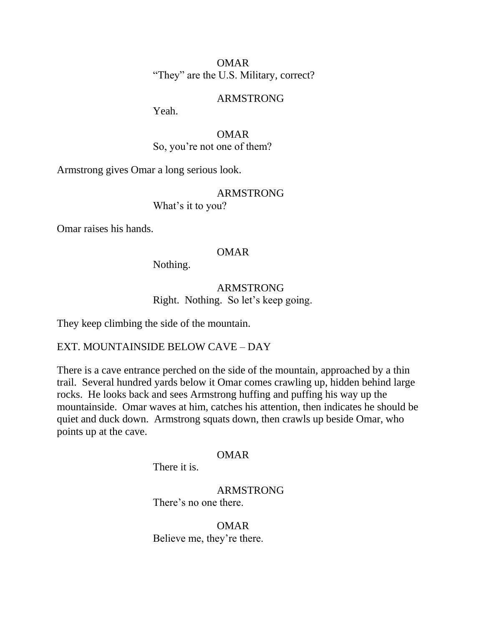OMAR "They" are the U.S. Military, correct?

### ARMSTRONG

Yeah.

 OMAR So, you're not one of them?

Armstrong gives Omar a long serious look.

## ARMSTRONG

What's it to you?

Omar raises his hands.

### OMAR

Nothing.

## ARMSTRONG Right. Nothing. So let's keep going.

They keep climbing the side of the mountain.

## EXT. MOUNTAINSIDE BELOW CAVE – DAY

There is a cave entrance perched on the side of the mountain, approached by a thin trail. Several hundred yards below it Omar comes crawling up, hidden behind large rocks. He looks back and sees Armstrong huffing and puffing his way up the mountainside. Omar waves at him, catches his attention, then indicates he should be quiet and duck down. Armstrong squats down, then crawls up beside Omar, who points up at the cave.

### OMAR

There it is.

 ARMSTRONG There's no one there.

 OMAR Believe me, they're there.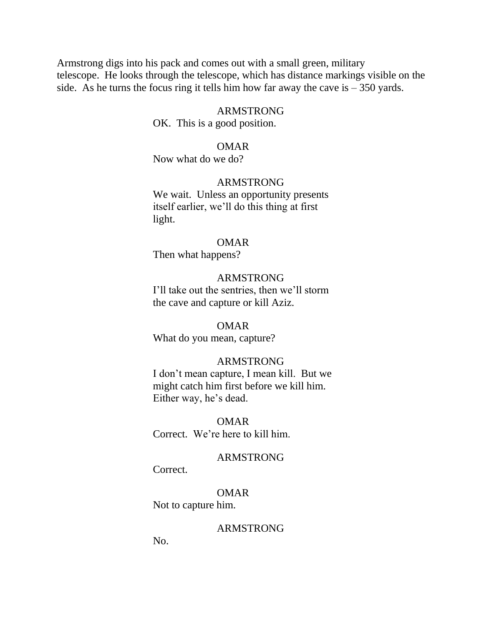Armstrong digs into his pack and comes out with a small green, military telescope. He looks through the telescope, which has distance markings visible on the side. As he turns the focus ring it tells him how far away the cave is  $-350$  yards.

#### ARMSTRONG

OK. This is a good position.

#### OMAR

Now what do we do?

### ARMSTRONG

We wait. Unless an opportunity presents itself earlier, we'll do this thing at first light.

#### OMAR

Then what happens?

#### ARMSTRONG

 I'll take out the sentries, then we'll storm the cave and capture or kill Aziz.

### OMAR

What do you mean, capture?

#### ARMSTRONG

 I don't mean capture, I mean kill. But we might catch him first before we kill him. Either way, he's dead.

 OMAR Correct. We're here to kill him.

#### ARMSTRONG

Correct.

 OMAR Not to capture him.

#### ARMSTRONG

No.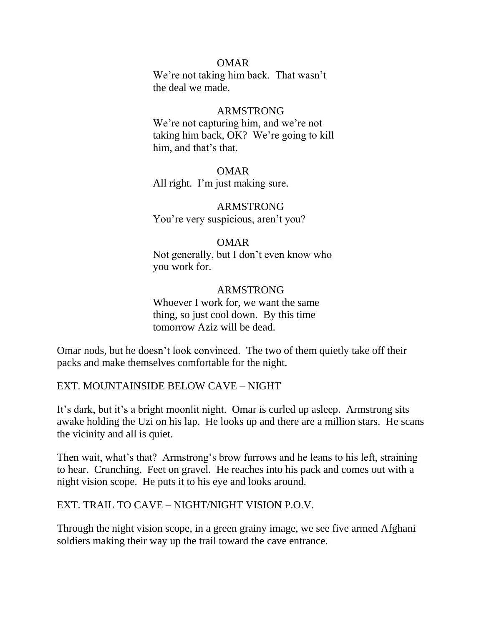## OMAR

 We're not taking him back. That wasn't the deal we made.

### ARMSTRONG

 We're not capturing him, and we're not taking him back, OK? We're going to kill him, and that's that.

 OMAR All right. I'm just making sure.

### ARMSTRONG You're very suspicious, aren't you?

## OMAR

 Not generally, but I don't even know who you work for.

### ARMSTRONG

 Whoever I work for, we want the same thing, so just cool down. By this time tomorrow Aziz will be dead.

Omar nods, but he doesn't look convinced. The two of them quietly take off their packs and make themselves comfortable for the night.

EXT. MOUNTAINSIDE BELOW CAVE – NIGHT

It's dark, but it's a bright moonlit night. Omar is curled up asleep. Armstrong sits awake holding the Uzi on his lap. He looks up and there are a million stars. He scans the vicinity and all is quiet.

Then wait, what's that? Armstrong's brow furrows and he leans to his left, straining to hear. Crunching. Feet on gravel. He reaches into his pack and comes out with a night vision scope. He puts it to his eye and looks around.

## EXT. TRAIL TO CAVE – NIGHT/NIGHT VISION P.O.V.

Through the night vision scope, in a green grainy image, we see five armed Afghani soldiers making their way up the trail toward the cave entrance.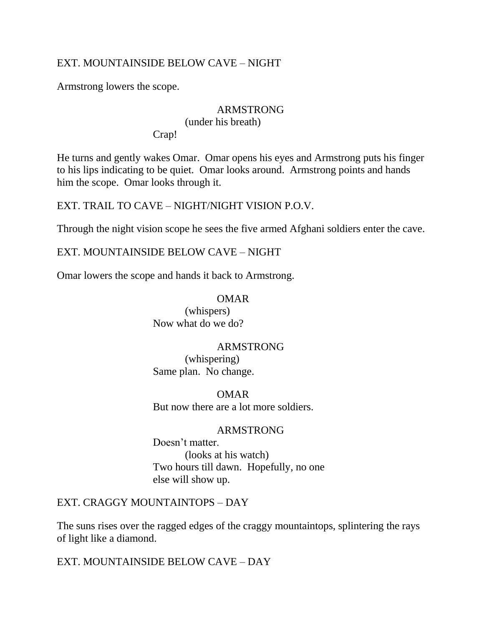# EXT. MOUNTAINSIDE BELOW CAVE – NIGHT

Armstrong lowers the scope.

## ARMSTRONG

(under his breath)

Crap!

He turns and gently wakes Omar. Omar opens his eyes and Armstrong puts his finger to his lips indicating to be quiet. Omar looks around. Armstrong points and hands him the scope. Omar looks through it.

EXT. TRAIL TO CAVE – NIGHT/NIGHT VISION P.O.V.

Through the night vision scope he sees the five armed Afghani soldiers enter the cave.

EXT. MOUNTAINSIDE BELOW CAVE – NIGHT

Omar lowers the scope and hands it back to Armstrong.

## OMAR

 (whispers) Now what do we do?

## ARMSTRONG

 (whispering) Same plan. No change.

 OMAR But now there are a lot more soldiers.

## ARMSTRONG

 Doesn't matter. (looks at his watch) Two hours till dawn. Hopefully, no one else will show up.

EXT. CRAGGY MOUNTAINTOPS – DAY

The suns rises over the ragged edges of the craggy mountaintops, splintering the rays of light like a diamond.

EXT. MOUNTAINSIDE BELOW CAVE – DAY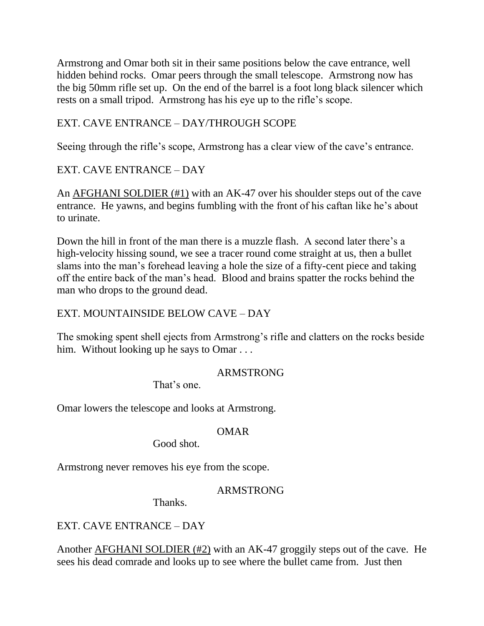Armstrong and Omar both sit in their same positions below the cave entrance, well hidden behind rocks. Omar peers through the small telescope. Armstrong now has the big 50mm rifle set up. On the end of the barrel is a foot long black silencer which rests on a small tripod. Armstrong has his eye up to the rifle's scope.

# EXT. CAVE ENTRANCE – DAY/THROUGH SCOPE

Seeing through the rifle's scope, Armstrong has a clear view of the cave's entrance.

# EXT. CAVE ENTRANCE – DAY

An AFGHANI SOLDIER (#1) with an AK-47 over his shoulder steps out of the cave entrance. He yawns, and begins fumbling with the front of his caftan like he's about to urinate.

Down the hill in front of the man there is a muzzle flash. A second later there's a high-velocity hissing sound, we see a tracer round come straight at us, then a bullet slams into the man's forehead leaving a hole the size of a fifty-cent piece and taking off the entire back of the man's head. Blood and brains spatter the rocks behind the man who drops to the ground dead.

# EXT. MOUNTAINSIDE BELOW CAVE – DAY

The smoking spent shell ejects from Armstrong's rifle and clatters on the rocks beside him. Without looking up he says to Omar . . .

# ARMSTRONG

That's one.

Omar lowers the telescope and looks at Armstrong.

# OMAR

Good shot.

Armstrong never removes his eye from the scope.

# ARMSTRONG

Thanks.

EXT. CAVE ENTRANCE – DAY

Another AFGHANI SOLDIER (#2) with an AK-47 groggily steps out of the cave. He sees his dead comrade and looks up to see where the bullet came from. Just then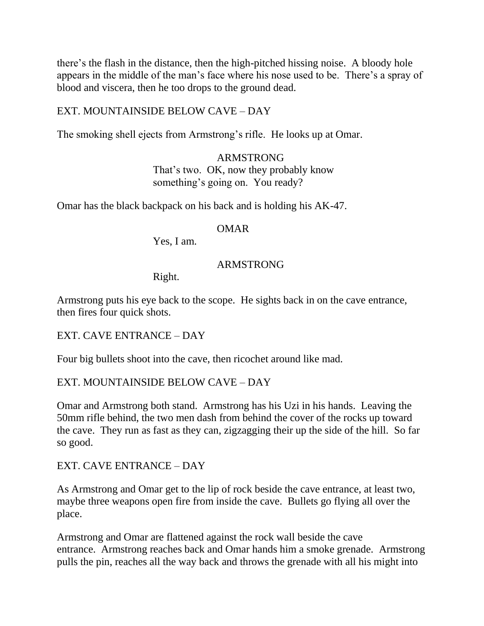there's the flash in the distance, then the high-pitched hissing noise. A bloody hole appears in the middle of the man's face where his nose used to be. There's a spray of blood and viscera, then he too drops to the ground dead.

## EXT. MOUNTAINSIDE BELOW CAVE – DAY

The smoking shell ejects from Armstrong's rifle. He looks up at Omar.

 ARMSTRONG That's two. OK, now they probably know something's going on. You ready?

Omar has the black backpack on his back and is holding his AK-47.

### OMAR

Yes, I am.

## ARMSTRONG

Right.

Armstrong puts his eye back to the scope. He sights back in on the cave entrance, then fires four quick shots.

EXT. CAVE ENTRANCE – DAY

Four big bullets shoot into the cave, then ricochet around like mad.

## EXT. MOUNTAINSIDE BELOW CAVE – DAY

Omar and Armstrong both stand. Armstrong has his Uzi in his hands. Leaving the 50mm rifle behind, the two men dash from behind the cover of the rocks up toward the cave. They run as fast as they can, zigzagging their up the side of the hill. So far so good.

## EXT. CAVE ENTRANCE – DAY

As Armstrong and Omar get to the lip of rock beside the cave entrance, at least two, maybe three weapons open fire from inside the cave. Bullets go flying all over the place.

Armstrong and Omar are flattened against the rock wall beside the cave entrance. Armstrong reaches back and Omar hands him a smoke grenade. Armstrong pulls the pin, reaches all the way back and throws the grenade with all his might into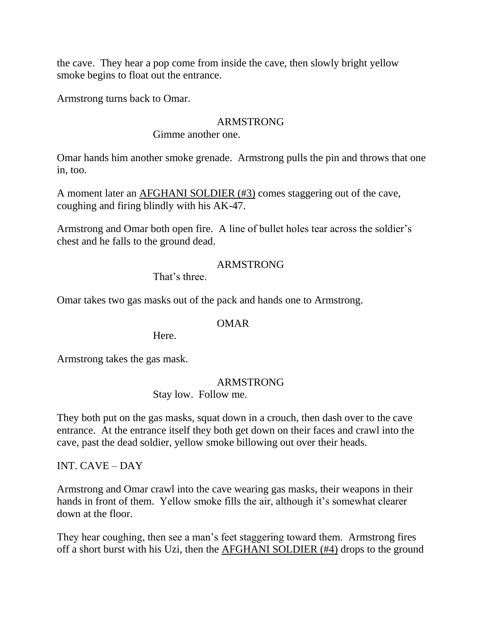the cave. They hear a pop come from inside the cave, then slowly bright yellow smoke begins to float out the entrance.

Armstrong turns back to Omar.

## ARMSTRONG

Gimme another one.

Omar hands him another smoke grenade. Armstrong pulls the pin and throws that one in, too.

A moment later an AFGHANI SOLDIER (#3) comes staggering out of the cave, coughing and firing blindly with his AK-47.

Armstrong and Omar both open fire. A line of bullet holes tear across the soldier's chest and he falls to the ground dead.

## ARMSTRONG

That's three.

Omar takes two gas masks out of the pack and hands one to Armstrong.

## OMAR

Here.

Armstrong takes the gas mask.

### ARMSTRONG

Stay low. Follow me.

They both put on the gas masks, squat down in a crouch, then dash over to the cave entrance. At the entrance itself they both get down on their faces and crawl into the cave, past the dead soldier, yellow smoke billowing out over their heads.

INT. CAVE – DAY

Armstrong and Omar crawl into the cave wearing gas masks, their weapons in their hands in front of them. Yellow smoke fills the air, although it's somewhat clearer down at the floor.

They hear coughing, then see a man's feet staggering toward them. Armstrong fires off a short burst with his Uzi, then the AFGHANI SOLDIER (#4) drops to the ground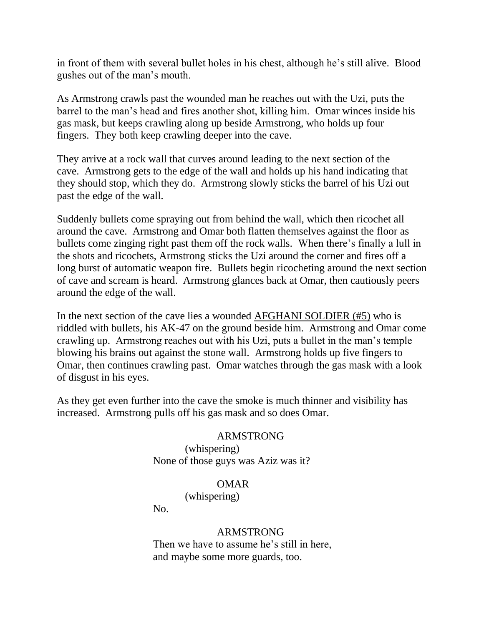in front of them with several bullet holes in his chest, although he's still alive. Blood gushes out of the man's mouth.

As Armstrong crawls past the wounded man he reaches out with the Uzi, puts the barrel to the man's head and fires another shot, killing him. Omar winces inside his gas mask, but keeps crawling along up beside Armstrong, who holds up four fingers. They both keep crawling deeper into the cave.

They arrive at a rock wall that curves around leading to the next section of the cave. Armstrong gets to the edge of the wall and holds up his hand indicating that they should stop, which they do. Armstrong slowly sticks the barrel of his Uzi out past the edge of the wall.

Suddenly bullets come spraying out from behind the wall, which then ricochet all around the cave. Armstrong and Omar both flatten themselves against the floor as bullets come zinging right past them off the rock walls. When there's finally a lull in the shots and ricochets, Armstrong sticks the Uzi around the corner and fires off a long burst of automatic weapon fire. Bullets begin ricocheting around the next section of cave and scream is heard. Armstrong glances back at Omar, then cautiously peers around the edge of the wall.

In the next section of the cave lies a wounded AFGHANI SOLDIER (#5) who is riddled with bullets, his AK-47 on the ground beside him. Armstrong and Omar come crawling up. Armstrong reaches out with his Uzi, puts a bullet in the man's temple blowing his brains out against the stone wall. Armstrong holds up five fingers to Omar, then continues crawling past. Omar watches through the gas mask with a look of disgust in his eyes.

As they get even further into the cave the smoke is much thinner and visibility has increased. Armstrong pulls off his gas mask and so does Omar.

### ARMSTRONG

 (whispering) None of those guys was Aziz was it?

## OMAR

(whispering)

No.

## ARMSTRONG

 Then we have to assume he's still in here, and maybe some more guards, too.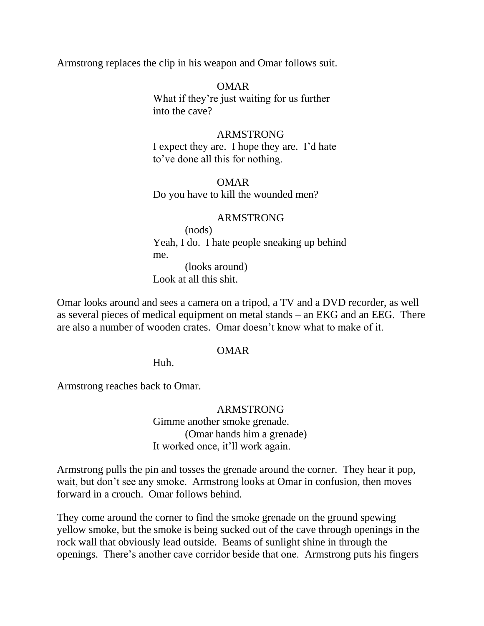Armstrong replaces the clip in his weapon and Omar follows suit.

 OMAR What if they're just waiting for us further into the cave?

 ARMSTRONG I expect they are. I hope they are. I'd hate to've done all this for nothing.

 OMAR Do you have to kill the wounded men?

## ARMSTRONG

 (nods) Yeah, I do. I hate people sneaking up behind me. (looks around)

Look at all this shit.

Omar looks around and sees a camera on a tripod, a TV and a DVD recorder, as well as several pieces of medical equipment on metal stands – an EKG and an EEG. There are also a number of wooden crates. Omar doesn't know what to make of it.

## OMAR

Huh.

Armstrong reaches back to Omar.

## ARMSTRONG

 Gimme another smoke grenade. (Omar hands him a grenade) It worked once, it'll work again.

Armstrong pulls the pin and tosses the grenade around the corner. They hear it pop, wait, but don't see any smoke. Armstrong looks at Omar in confusion, then moves forward in a crouch. Omar follows behind.

They come around the corner to find the smoke grenade on the ground spewing yellow smoke, but the smoke is being sucked out of the cave through openings in the rock wall that obviously lead outside. Beams of sunlight shine in through the openings. There's another cave corridor beside that one. Armstrong puts his fingers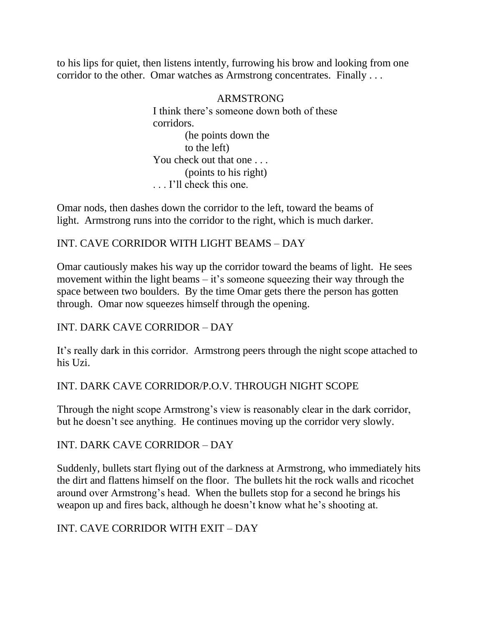to his lips for quiet, then listens intently, furrowing his brow and looking from one corridor to the other. Omar watches as Armstrong concentrates. Finally . . .

## ARMSTRONG

 I think there's someone down both of these corridors. (he points down the to the left) You check out that one . . . (points to his right) . . . I'll check this one.

Omar nods, then dashes down the corridor to the left, toward the beams of light. Armstrong runs into the corridor to the right, which is much darker.

# INT. CAVE CORRIDOR WITH LIGHT BEAMS – DAY

Omar cautiously makes his way up the corridor toward the beams of light. He sees movement within the light beams – it's someone squeezing their way through the space between two boulders. By the time Omar gets there the person has gotten through. Omar now squeezes himself through the opening.

## INT. DARK CAVE CORRIDOR – DAY

It's really dark in this corridor. Armstrong peers through the night scope attached to his Uzi.

## INT. DARK CAVE CORRIDOR/P.O.V. THROUGH NIGHT SCOPE

Through the night scope Armstrong's view is reasonably clear in the dark corridor, but he doesn't see anything. He continues moving up the corridor very slowly.

## INT. DARK CAVE CORRIDOR – DAY

Suddenly, bullets start flying out of the darkness at Armstrong, who immediately hits the dirt and flattens himself on the floor. The bullets hit the rock walls and ricochet around over Armstrong's head. When the bullets stop for a second he brings his weapon up and fires back, although he doesn't know what he's shooting at.

## INT. CAVE CORRIDOR WITH EXIT – DAY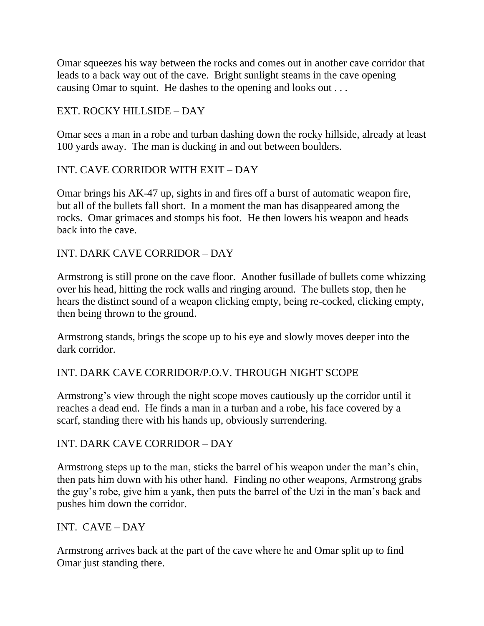Omar squeezes his way between the rocks and comes out in another cave corridor that leads to a back way out of the cave. Bright sunlight steams in the cave opening causing Omar to squint. He dashes to the opening and looks out . . .

# EXT. ROCKY HILLSIDE – DAY

Omar sees a man in a robe and turban dashing down the rocky hillside, already at least 100 yards away. The man is ducking in and out between boulders.

## INT. CAVE CORRIDOR WITH EXIT – DAY

Omar brings his AK-47 up, sights in and fires off a burst of automatic weapon fire, but all of the bullets fall short. In a moment the man has disappeared among the rocks. Omar grimaces and stomps his foot. He then lowers his weapon and heads back into the cave.

## INT. DARK CAVE CORRIDOR – DAY

Armstrong is still prone on the cave floor. Another fusillade of bullets come whizzing over his head, hitting the rock walls and ringing around. The bullets stop, then he hears the distinct sound of a weapon clicking empty, being re-cocked, clicking empty, then being thrown to the ground.

Armstrong stands, brings the scope up to his eye and slowly moves deeper into the dark corridor.

## INT. DARK CAVE CORRIDOR/P.O.V. THROUGH NIGHT SCOPE

Armstrong's view through the night scope moves cautiously up the corridor until it reaches a dead end. He finds a man in a turban and a robe, his face covered by a scarf, standing there with his hands up, obviously surrendering.

## INT. DARK CAVE CORRIDOR – DAY

Armstrong steps up to the man, sticks the barrel of his weapon under the man's chin, then pats him down with his other hand. Finding no other weapons, Armstrong grabs the guy's robe, give him a yank, then puts the barrel of the Uzi in the man's back and pushes him down the corridor.

## INT. CAVE – DAY

Armstrong arrives back at the part of the cave where he and Omar split up to find Omar just standing there.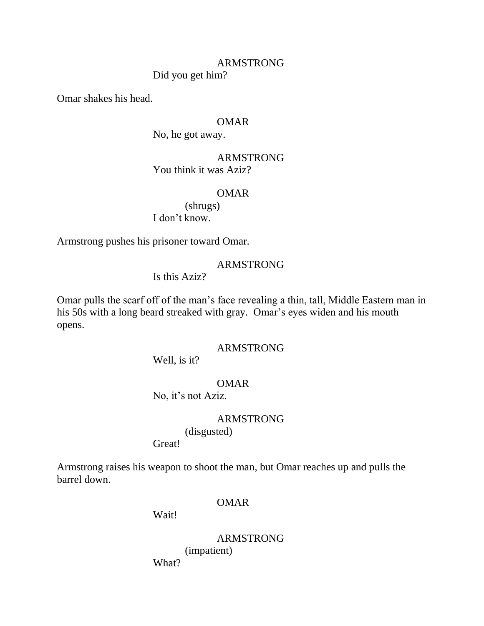## ARMSTRONG Did you get him?

Omar shakes his head.

## OMAR

No, he got away.

## ARMSTRONG You think it was Aziz?

## OMAR

 (shrugs) I don't know.

Armstrong pushes his prisoner toward Omar.

## ARMSTRONG

Is this Aziz?

Omar pulls the scarf off of the man's face revealing a thin, tall, Middle Eastern man in his 50s with a long beard streaked with gray. Omar's eyes widen and his mouth opens.

## ARMSTRONG

Well, is it?

## OMAR

No, it's not Aziz.

## ARMSTRONG

(disgusted)

Great!

Armstrong raises his weapon to shoot the man, but Omar reaches up and pulls the barrel down.

## OMAR

Wait!

 ARMSTRONG (impatient) What?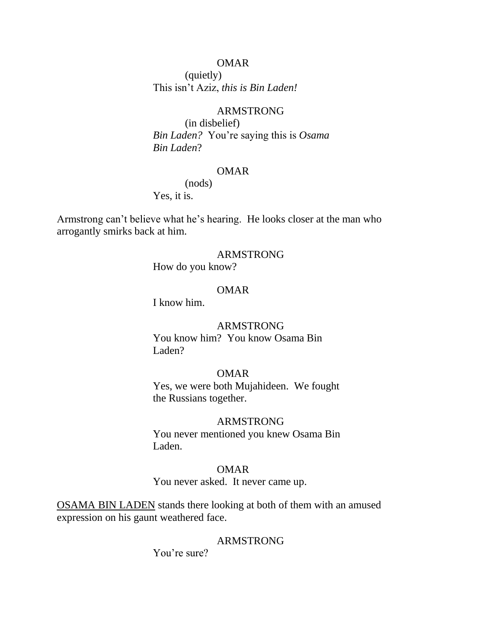(quietly) This isn't Aziz, *this is Bin Laden!*

## ARMSTRONG

 (in disbelief) *Bin Laden?* You're saying this is *Osama Bin Laden*?

## OMAR

(nods)

Yes, it is.

Armstrong can't believe what he's hearing. He looks closer at the man who arrogantly smirks back at him.

## ARMSTRONG

How do you know?

## OMAR

I know him.

### ARMSTRONG

 You know him? You know Osama Bin Laden?

## OMAR

 Yes, we were both Mujahideen. We fought the Russians together.

## ARMSTRONG

 You never mentioned you knew Osama Bin Laden.

## OMAR

You never asked. It never came up.

OSAMA BIN LADEN stands there looking at both of them with an amused expression on his gaunt weathered face.

### ARMSTRONG

You're sure?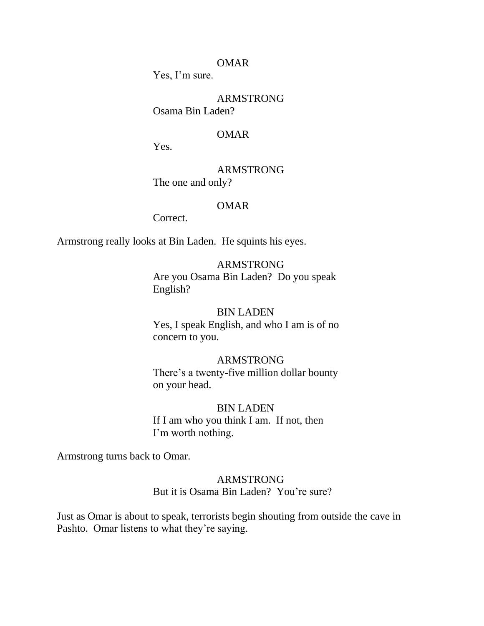Yes, I'm sure.

 ARMSTRONG Osama Bin Laden?

#### OMAR

Yes.

 ARMSTRONG The one and only?

### OMAR

Correct.

Armstrong really looks at Bin Laden. He squints his eyes.

### ARMSTRONG

 Are you Osama Bin Laden? Do you speak English?

#### BIN LADEN

 Yes, I speak English, and who I am is of no concern to you.

## ARMSTRONG

 There's a twenty-five million dollar bounty on your head.

#### BIN LADEN

 If I am who you think I am. If not, then I'm worth nothing.

Armstrong turns back to Omar.

## ARMSTRONG But it is Osama Bin Laden? You're sure?

Just as Omar is about to speak, terrorists begin shouting from outside the cave in Pashto. Omar listens to what they're saying.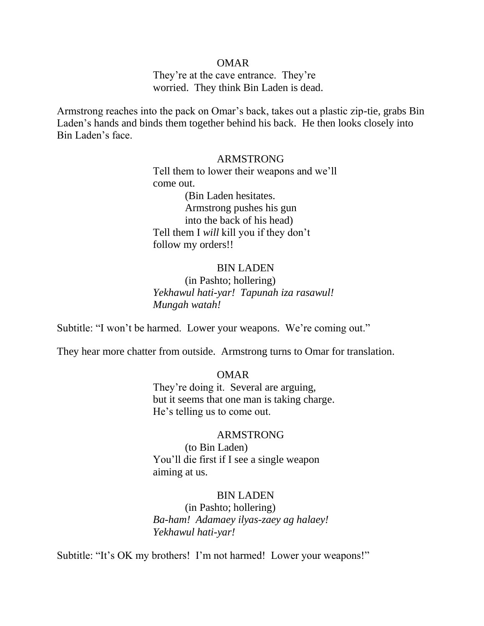They're at the cave entrance. They're worried. They think Bin Laden is dead.

Armstrong reaches into the pack on Omar's back, takes out a plastic zip-tie, grabs Bin Laden's hands and binds them together behind his back. He then looks closely into Bin Laden's face.

### ARMSTRONG

 Tell them to lower their weapons and we'll come out. (Bin Laden hesitates. Armstrong pushes his gun into the back of his head) Tell them I *will* kill you if they don't follow my orders!!

#### BIN LADEN

 (in Pashto; hollering)  *Yekhawul hati-yar! Tapunah iza rasawul! Mungah watah!*

Subtitle: "I won't be harmed. Lower your weapons. We're coming out."

They hear more chatter from outside. Armstrong turns to Omar for translation.

#### OMAR

 They're doing it. Several are arguing, but it seems that one man is taking charge. He's telling us to come out.

### ARMSTRONG

 (to Bin Laden) You'll die first if I see a single weapon aiming at us.

#### BIN LADEN

 (in Pashto; hollering)  *Ba-ham! Adamaey ilyas-zaey ag halaey! Yekhawul hati-yar!*

Subtitle: "It's OK my brothers! I'm not harmed! Lower your weapons!"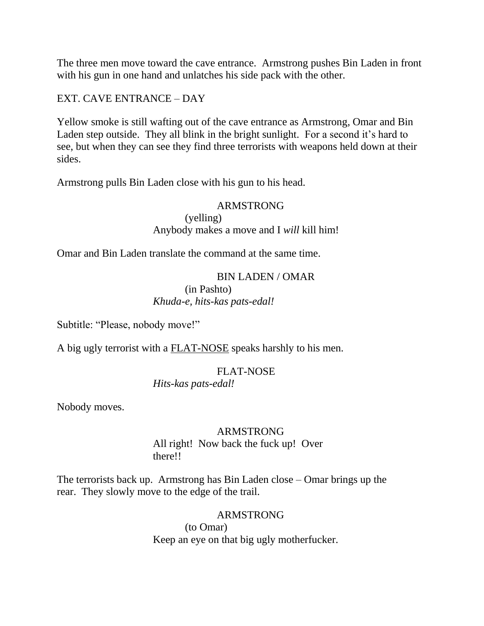The three men move toward the cave entrance. Armstrong pushes Bin Laden in front with his gun in one hand and unlatches his side pack with the other.

EXT. CAVE ENTRANCE – DAY

Yellow smoke is still wafting out of the cave entrance as Armstrong, Omar and Bin Laden step outside. They all blink in the bright sunlight. For a second it's hard to see, but when they can see they find three terrorists with weapons held down at their sides.

Armstrong pulls Bin Laden close with his gun to his head.

## ARMSTRONG

 (yelling) Anybody makes a move and I *will* kill him!

Omar and Bin Laden translate the command at the same time.

## BIN LADEN / OMAR

 (in Pashto) *Khuda-e, hits-kas pats-edal!*

Subtitle: "Please, nobody move!"

A big ugly terrorist with a FLAT-NOSE speaks harshly to his men.

## FLAT-NOSE

*Hits-kas pats-edal!*

Nobody moves.

## ARMSTRONG

 All right! Now back the fuck up! Over there!!

The terrorists back up. Armstrong has Bin Laden close – Omar brings up the rear. They slowly move to the edge of the trail.

## ARMSTRONG

 (to Omar) Keep an eye on that big ugly motherfucker.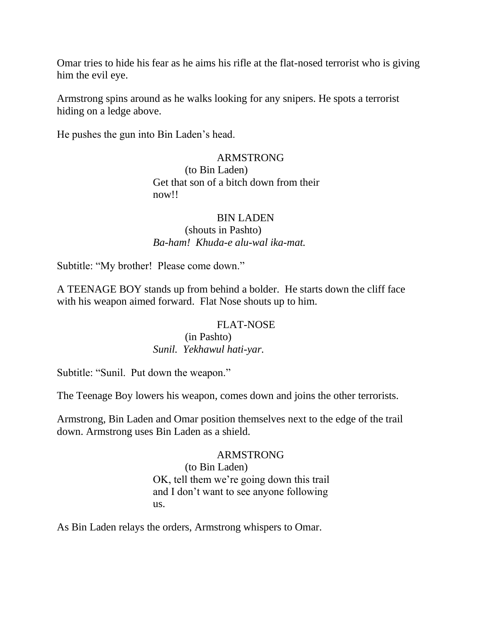Omar tries to hide his fear as he aims his rifle at the flat-nosed terrorist who is giving him the evil eye.

Armstrong spins around as he walks looking for any snipers. He spots a terrorist hiding on a ledge above.

He pushes the gun into Bin Laden's head.

## ARMSTRONG

 (to Bin Laden) Get that son of a bitch down from their now!!

## BIN LADEN

 (shouts in Pashto) *Ba-ham! Khuda-e alu-wal ika-mat.*

Subtitle: "My brother! Please come down."

A TEENAGE BOY stands up from behind a bolder. He starts down the cliff face with his weapon aimed forward. Flat Nose shouts up to him.

## FLAT-NOSE

## (in Pashto) *Sunil. Yekhawul hati-yar.*

Subtitle: "Sunil. Put down the weapon."

The Teenage Boy lowers his weapon, comes down and joins the other terrorists.

Armstrong, Bin Laden and Omar position themselves next to the edge of the trail down. Armstrong uses Bin Laden as a shield.

## ARMSTRONG

 (to Bin Laden) OK, tell them we're going down this trail and I don't want to see anyone following us.

As Bin Laden relays the orders, Armstrong whispers to Omar.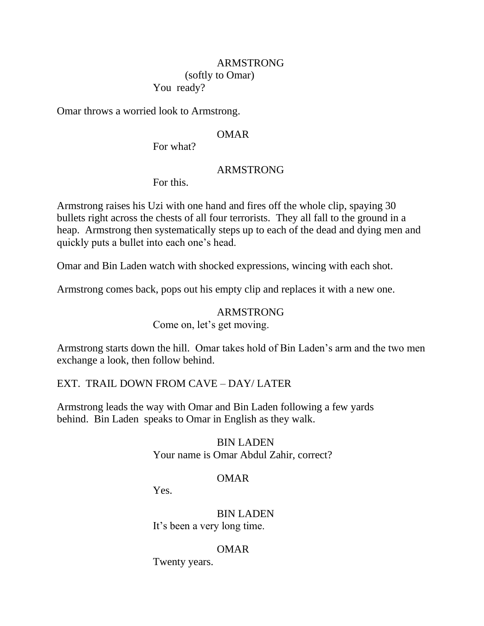# ARMSTRONG

## (softly to Omar)

You ready?

Omar throws a worried look to Armstrong.

## OMAR

For what?

## ARMSTRONG

For this.

Armstrong raises his Uzi with one hand and fires off the whole clip, spaying 30 bullets right across the chests of all four terrorists. They all fall to the ground in a heap. Armstrong then systematically steps up to each of the dead and dying men and quickly puts a bullet into each one's head.

Omar and Bin Laden watch with shocked expressions, wincing with each shot.

Armstrong comes back, pops out his empty clip and replaces it with a new one.

## ARMSTRONG

Come on, let's get moving.

Armstrong starts down the hill. Omar takes hold of Bin Laden's arm and the two men exchange a look, then follow behind.

## EXT. TRAIL DOWN FROM CAVE – DAY/ LATER

Armstrong leads the way with Omar and Bin Laden following a few yards behind. Bin Laden speaks to Omar in English as they walk.

## BIN LADEN Your name is Omar Abdul Zahir, correct?

## OMAR

Yes.

## BIN LADEN It's been a very long time.

## OMAR

Twenty years.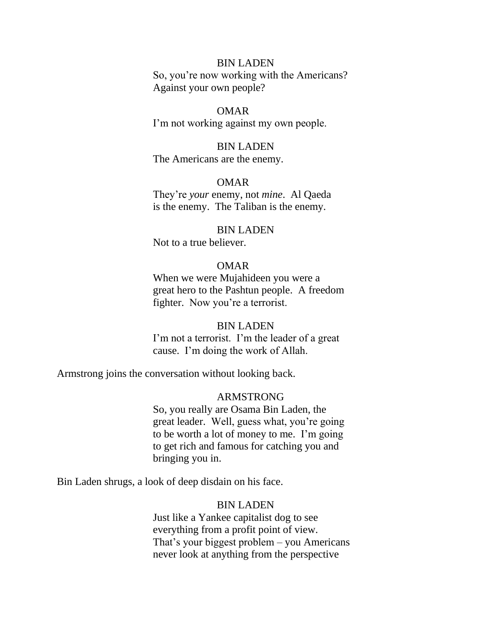### BIN LADEN

 So, you're now working with the Americans? Against your own people?

## OMAR

I'm not working against my own people.

### BIN LADEN

The Americans are the enemy.

#### OMAR

 They're *your* enemy, not *mine*. Al Qaeda is the enemy. The Taliban is the enemy.

#### BIN LADEN

Not to a true believer.

## OMAR

 When we were Mujahideen you were a great hero to the Pashtun people. A freedom fighter. Now you're a terrorist.

## BIN LADEN

 I'm not a terrorist. I'm the leader of a great cause. I'm doing the work of Allah.

Armstrong joins the conversation without looking back.

### ARMSTRONG

 So, you really are Osama Bin Laden, the great leader. Well, guess what, you're going to be worth a lot of money to me. I'm going to get rich and famous for catching you and bringing you in.

Bin Laden shrugs, a look of deep disdain on his face.

### BIN LADEN

 Just like a Yankee capitalist dog to see everything from a profit point of view. That's your biggest problem – you Americans never look at anything from the perspective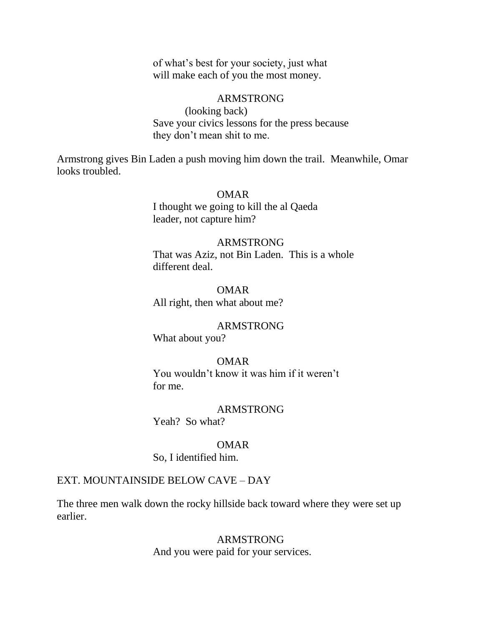of what's best for your society, just what will make each of you the most money.

#### ARMSTRONG

 (looking back) Save your civics lessons for the press because they don't mean shit to me.

Armstrong gives Bin Laden a push moving him down the trail. Meanwhile, Omar looks troubled.

#### OMAR

 I thought we going to kill the al Qaeda leader, not capture him?

#### ARMSTRONG

 That was Aziz, not Bin Laden. This is a whole different deal.

 OMAR All right, then what about me?

### ARMSTRONG

What about you?

#### OMAR

 You wouldn't know it was him if it weren't for me.

### ARMSTRONG

Yeah? So what?

### OMAR

So, I identified him.

#### EXT. MOUNTAINSIDE BELOW CAVE – DAY

The three men walk down the rocky hillside back toward where they were set up earlier.

#### ARMSTRONG

And you were paid for your services.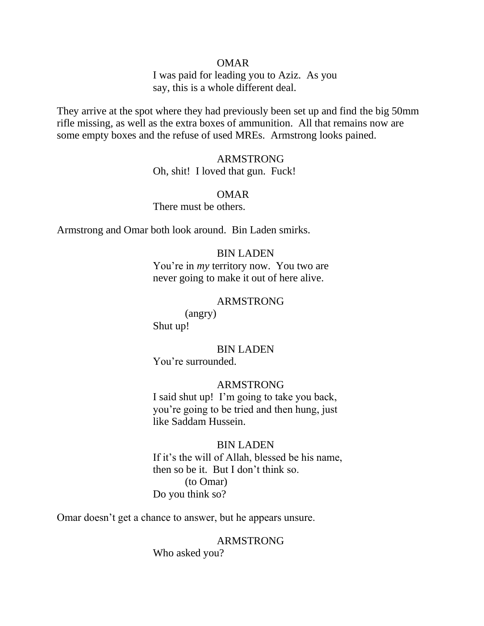I was paid for leading you to Aziz. As you say, this is a whole different deal.

They arrive at the spot where they had previously been set up and find the big 50mm rifle missing, as well as the extra boxes of ammunition. All that remains now are some empty boxes and the refuse of used MREs. Armstrong looks pained.

### ARMSTRONG

Oh, shit! I loved that gun. Fuck!

#### OMAR

There must be others.

Armstrong and Omar both look around. Bin Laden smirks.

### BIN LADEN

 You're in *my* territory now. You two are never going to make it out of here alive.

#### ARMSTRONG

 (angry) Shut up!

### BIN LADEN

You're surrounded.

## ARMSTRONG

 I said shut up! I'm going to take you back, you're going to be tried and then hung, just like Saddam Hussein.

### BIN LADEN

 If it's the will of Allah, blessed be his name, then so be it. But I don't think so. (to Omar) Do you think so?

Omar doesn't get a chance to answer, but he appears unsure.

# ARMSTRONG

Who asked you?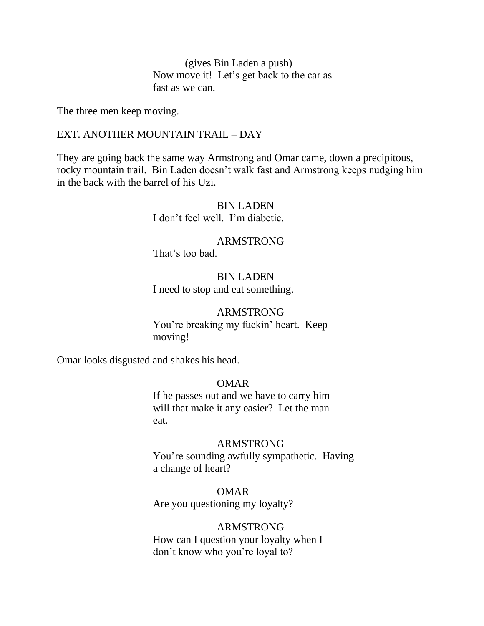(gives Bin Laden a push) Now move it! Let's get back to the car as fast as we can.

The three men keep moving.

### EXT. ANOTHER MOUNTAIN TRAIL – DAY

They are going back the same way Armstrong and Omar came, down a precipitous, rocky mountain trail. Bin Laden doesn't walk fast and Armstrong keeps nudging him in the back with the barrel of his Uzi.

> BIN LADEN I don't feel well. I'm diabetic.

> ARMSTRONG That's too bad.

 BIN LADEN I need to stop and eat something.

## ARMSTRONG

 You're breaking my fuckin' heart. Keep moving!

Omar looks disgusted and shakes his head.

## OMAR

 If he passes out and we have to carry him will that make it any easier? Let the man eat.

### ARMSTRONG

 You're sounding awfully sympathetic. Having a change of heart?

 OMAR Are you questioning my loyalty?

### ARMSTRONG

 How can I question your loyalty when I don't know who you're loyal to?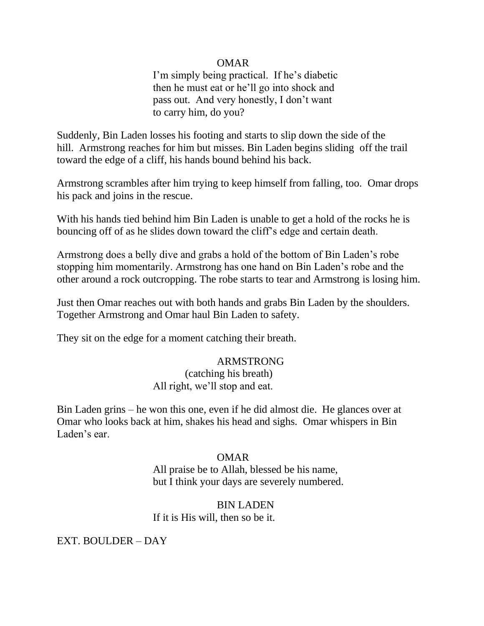I'm simply being practical. If he's diabetic then he must eat or he'll go into shock and pass out. And very honestly, I don't want to carry him, do you?

Suddenly, Bin Laden losses his footing and starts to slip down the side of the hill. Armstrong reaches for him but misses. Bin Laden begins sliding off the trail toward the edge of a cliff, his hands bound behind his back.

Armstrong scrambles after him trying to keep himself from falling, too. Omar drops his pack and joins in the rescue.

With his hands tied behind him Bin Laden is unable to get a hold of the rocks he is bouncing off of as he slides down toward the cliff's edge and certain death.

Armstrong does a belly dive and grabs a hold of the bottom of Bin Laden's robe stopping him momentarily. Armstrong has one hand on Bin Laden's robe and the other around a rock outcropping. The robe starts to tear and Armstrong is losing him.

Just then Omar reaches out with both hands and grabs Bin Laden by the shoulders. Together Armstrong and Omar haul Bin Laden to safety.

They sit on the edge for a moment catching their breath.

## ARMSTRONG

 (catching his breath) All right, we'll stop and eat.

Bin Laden grins – he won this one, even if he did almost die. He glances over at Omar who looks back at him, shakes his head and sighs. Omar whispers in Bin Laden's ear.

## OMAR

 All praise be to Allah, blessed be his name, but I think your days are severely numbered.

## BIN LADEN

If it is His will, then so be it.

EXT. BOULDER – DAY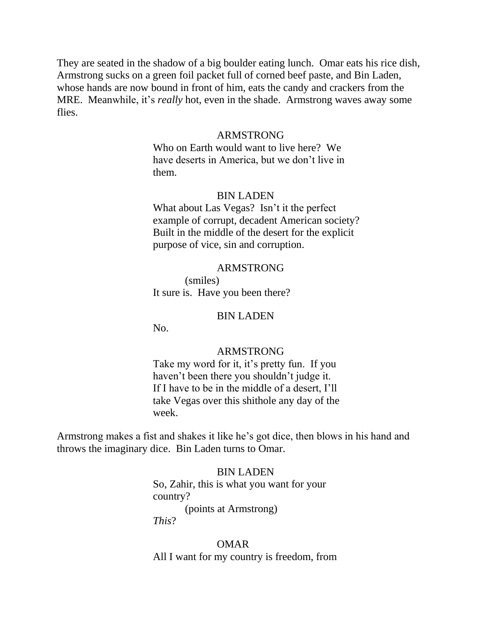They are seated in the shadow of a big boulder eating lunch. Omar eats his rice dish, Armstrong sucks on a green foil packet full of corned beef paste, and Bin Laden, whose hands are now bound in front of him, eats the candy and crackers from the MRE. Meanwhile, it's *really* hot, even in the shade. Armstrong waves away some flies.

## ARMSTRONG

 Who on Earth would want to live here? We have deserts in America, but we don't live in them.

### BIN LADEN

 What about Las Vegas? Isn't it the perfect example of corrupt, decadent American society? Built in the middle of the desert for the explicit purpose of vice, sin and corruption.

### ARMSTRONG

 (smiles) It sure is. Have you been there?

#### BIN LADEN

No.

#### ARMSTRONG

 Take my word for it, it's pretty fun. If you haven't been there you shouldn't judge it. If I have to be in the middle of a desert, I'll take Vegas over this shithole any day of the week.

Armstrong makes a fist and shakes it like he's got dice, then blows in his hand and throws the imaginary dice. Bin Laden turns to Omar.

#### BIN LADEN

 So, Zahir, this is what you want for your country? (points at Armstrong)  *This*?

#### OMAR

All I want for my country is freedom, from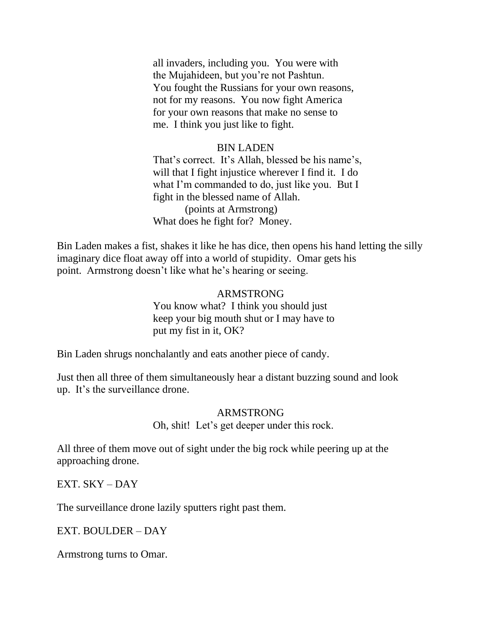all invaders, including you. You were with the Mujahideen, but you're not Pashtun. You fought the Russians for your own reasons, not for my reasons. You now fight America for your own reasons that make no sense to me. I think you just like to fight.

## BIN LADEN

 That's correct. It's Allah, blessed be his name's, will that I fight injustice wherever I find it. I do what I'm commanded to do, just like you. But I fight in the blessed name of Allah. (points at Armstrong) What does he fight for? Money.

Bin Laden makes a fist, shakes it like he has dice, then opens his hand letting the silly imaginary dice float away off into a world of stupidity. Omar gets his point. Armstrong doesn't like what he's hearing or seeing.

## ARMSTRONG You know what? I think you should just keep your big mouth shut or I may have to put my fist in it, OK?

Bin Laden shrugs nonchalantly and eats another piece of candy.

Just then all three of them simultaneously hear a distant buzzing sound and look up. It's the surveillance drone.

## ARMSTRONG

Oh, shit! Let's get deeper under this rock.

All three of them move out of sight under the big rock while peering up at the approaching drone.

EXT. SKY – DAY

The surveillance drone lazily sputters right past them.

EXT. BOULDER – DAY

Armstrong turns to Omar.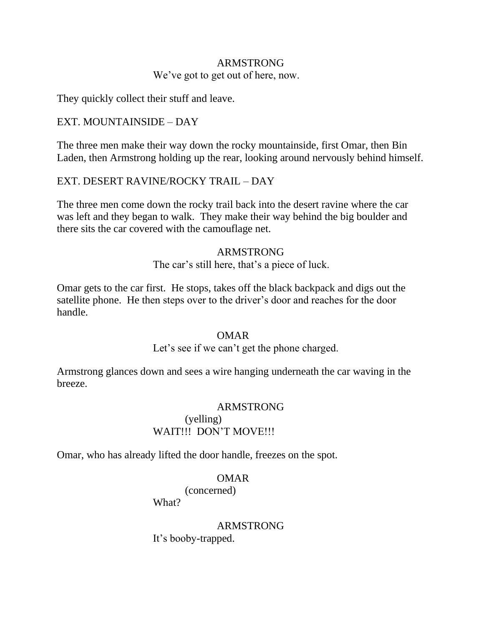# ARMSTRONG We've got to get out of here, now.

They quickly collect their stuff and leave.

# EXT. MOUNTAINSIDE – DAY

The three men make their way down the rocky mountainside, first Omar, then Bin Laden, then Armstrong holding up the rear, looking around nervously behind himself.

## EXT. DESERT RAVINE/ROCKY TRAIL – DAY

The three men come down the rocky trail back into the desert ravine where the car was left and they began to walk. They make their way behind the big boulder and there sits the car covered with the camouflage net.

## ARMSTRONG

The car's still here, that's a piece of luck.

Omar gets to the car first. He stops, takes off the black backpack and digs out the satellite phone. He then steps over to the driver's door and reaches for the door handle.

## OMAR

Let's see if we can't get the phone charged.

Armstrong glances down and sees a wire hanging underneath the car waving in the breeze.

## ARMSTRONG

## (yelling) WAIT!!! DON'T MOVE!!!

Omar, who has already lifted the door handle, freezes on the spot.

## OMAR

(concerned)

What?

# ARMSTRONG It's booby-trapped.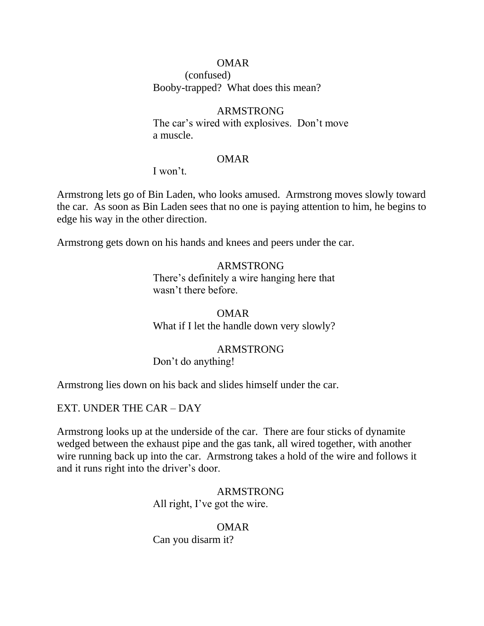(confused) Booby-trapped? What does this mean?

## ARMSTRONG

 The car's wired with explosives. Don't move a muscle.

#### OMAR

I won't.

Armstrong lets go of Bin Laden, who looks amused. Armstrong moves slowly toward the car. As soon as Bin Laden sees that no one is paying attention to him, he begins to edge his way in the other direction.

Armstrong gets down on his hands and knees and peers under the car.

## ARMSTRONG

 There's definitely a wire hanging here that wasn't there before.

 OMAR What if I let the handle down very slowly?

## ARMSTRONG

Don't do anything!

Armstrong lies down on his back and slides himself under the car.

## EXT. UNDER THE CAR – DAY

Armstrong looks up at the underside of the car. There are four sticks of dynamite wedged between the exhaust pipe and the gas tank, all wired together, with another wire running back up into the car. Armstrong takes a hold of the wire and follows it and it runs right into the driver's door.

## ARMSTRONG All right, I've got the wire.

# OMAR

Can you disarm it?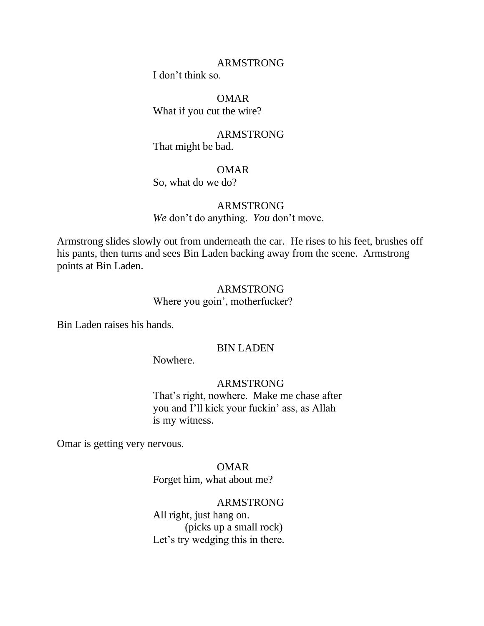#### ARMSTRONG

I don't think so.

 OMAR What if you cut the wire?

 ARMSTRONG That might be bad.

## OMAR

So, what do we do?

## ARMSTRONG

*We* don't do anything. *You* don't move.

Armstrong slides slowly out from underneath the car. He rises to his feet, brushes off his pants, then turns and sees Bin Laden backing away from the scene. Armstrong points at Bin Laden.

## ARMSTRONG

Where you goin', motherfucker?

Bin Laden raises his hands.

### BIN LADEN

Nowhere.

## ARMSTRONG

 That's right, nowhere. Make me chase after you and I'll kick your fuckin' ass, as Allah is my witness.

Omar is getting very nervous.

### OMAR

Forget him, what about me?

### ARMSTRONG

 All right, just hang on. (picks up a small rock) Let's try wedging this in there.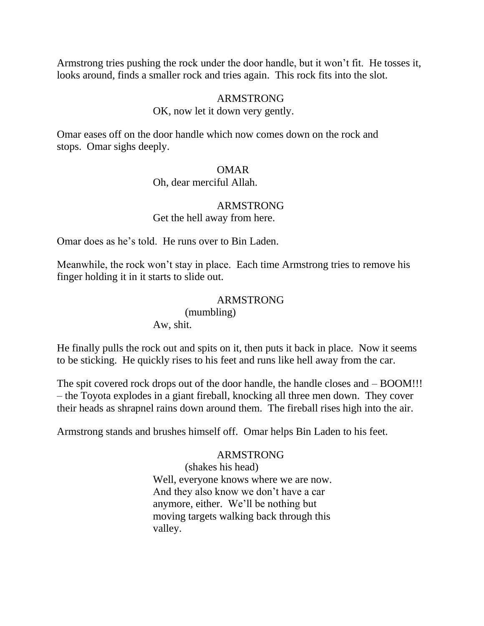Armstrong tries pushing the rock under the door handle, but it won't fit. He tosses it, looks around, finds a smaller rock and tries again. This rock fits into the slot.

## ARMSTRONG

## OK, now let it down very gently.

Omar eases off on the door handle which now comes down on the rock and stops. Omar sighs deeply.

## OMAR

#### Oh, dear merciful Allah.

# ARMSTRONG

Get the hell away from here.

Omar does as he's told. He runs over to Bin Laden.

Meanwhile, the rock won't stay in place. Each time Armstrong tries to remove his finger holding it in it starts to slide out.

## ARMSTRONG

(mumbling)

Aw, shit.

He finally pulls the rock out and spits on it, then puts it back in place. Now it seems to be sticking. He quickly rises to his feet and runs like hell away from the car.

The spit covered rock drops out of the door handle, the handle closes and – BOOM!!! – the Toyota explodes in a giant fireball, knocking all three men down. They cover their heads as shrapnel rains down around them. The fireball rises high into the air.

Armstrong stands and brushes himself off. Omar helps Bin Laden to his feet.

## ARMSTRONG

 (shakes his head) Well, everyone knows where we are now. And they also know we don't have a car anymore, either. We'll be nothing but moving targets walking back through this valley.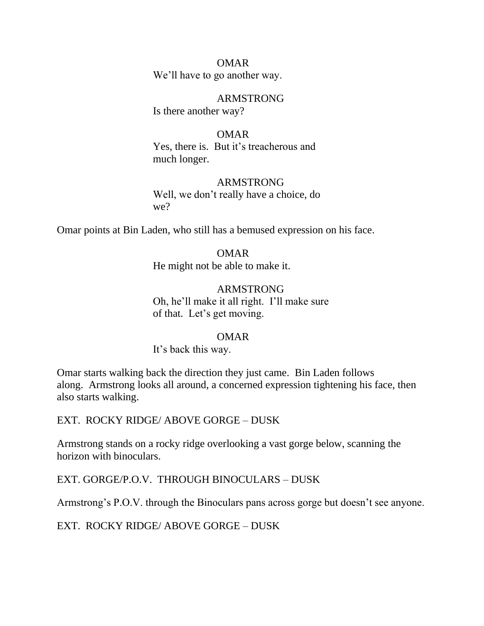OMAR We'll have to go another way.

 ARMSTRONG Is there another way?

 OMAR Yes, there is. But it's treacherous and much longer.

# ARMSTRONG

 Well, we don't really have a choice, do we?

Omar points at Bin Laden, who still has a bemused expression on his face.

## OMAR

He might not be able to make it.

 ARMSTRONG Oh, he'll make it all right. I'll make sure of that. Let's get moving.

## OMAR

It's back this way.

Omar starts walking back the direction they just came. Bin Laden follows along. Armstrong looks all around, a concerned expression tightening his face, then also starts walking.

EXT. ROCKY RIDGE/ ABOVE GORGE – DUSK

Armstrong stands on a rocky ridge overlooking a vast gorge below, scanning the horizon with binoculars.

EXT. GORGE/P.O.V. THROUGH BINOCULARS – DUSK

Armstrong's P.O.V. through the Binoculars pans across gorge but doesn't see anyone.

EXT. ROCKY RIDGE/ ABOVE GORGE – DUSK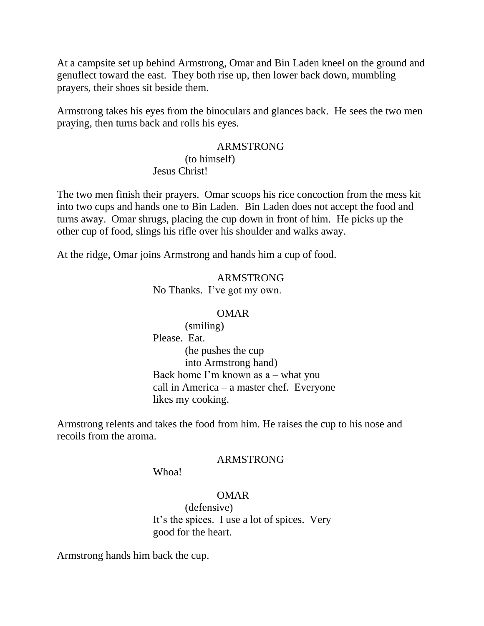At a campsite set up behind Armstrong, Omar and Bin Laden kneel on the ground and genuflect toward the east. They both rise up, then lower back down, mumbling prayers, their shoes sit beside them.

Armstrong takes his eyes from the binoculars and glances back. He sees the two men praying, then turns back and rolls his eyes.

### ARMSTRONG

 (to himself) Jesus Christ!

The two men finish their prayers. Omar scoops his rice concoction from the mess kit into two cups and hands one to Bin Laden. Bin Laden does not accept the food and turns away. Omar shrugs, placing the cup down in front of him. He picks up the other cup of food, slings his rifle over his shoulder and walks away.

At the ridge, Omar joins Armstrong and hands him a cup of food.

 ARMSTRONG No Thanks. I've got my own.

#### OMAR

 (smiling) Please. Eat. (he pushes the cup into Armstrong hand) Back home I'm known as a – what you call in America – a master chef. Everyone likes my cooking.

Armstrong relents and takes the food from him. He raises the cup to his nose and recoils from the aroma.

### ARMSTRONG

Whoa!

### OMAR

 (defensive) It's the spices. I use a lot of spices. Very good for the heart.

Armstrong hands him back the cup.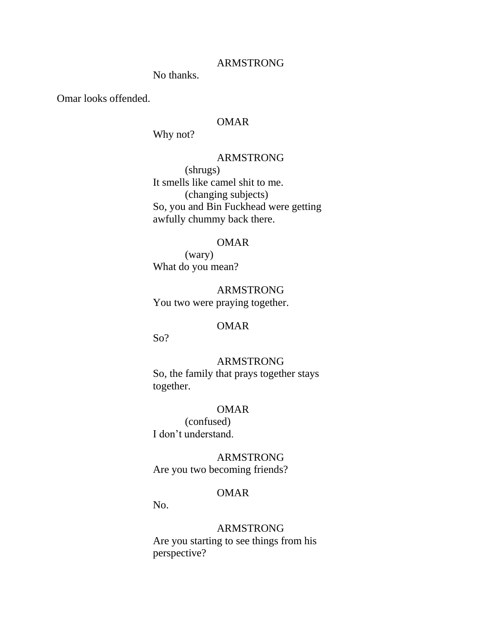#### ARMSTRONG

No thanks.

Omar looks offended.

### OMAR

Why not?

## ARMSTRONG

 (shrugs) It smells like camel shit to me. (changing subjects) So, you and Bin Fuckhead were getting awfully chummy back there.

#### OMAR

 (wary) What do you mean?

 ARMSTRONG You two were praying together.

## OMAR

So?

## ARMSTRONG

 So, the family that prays together stays together.

### OMAR

 (confused) I don't understand.

## ARMSTRONG

Are you two becoming friends?

## OMAR

No.

### ARMSTRONG

 Are you starting to see things from his perspective?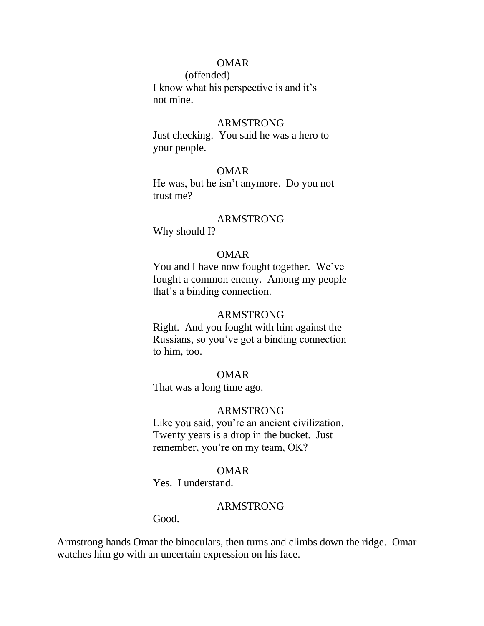(offended)

 I know what his perspective is and it's not mine.

### ARMSTRONG

 Just checking. You said he was a hero to your people.

## OMAR

 He was, but he isn't anymore. Do you not trust me?

### ARMSTRONG

Why should I?

### OMAR

 You and I have now fought together. We've fought a common enemy. Among my people that's a binding connection.

## ARMSTRONG

 Right. And you fought with him against the Russians, so you've got a binding connection to him, too.

### OMAR

That was a long time ago.

### ARMSTRONG

 Like you said, you're an ancient civilization. Twenty years is a drop in the bucket. Just remember, you're on my team, OK?

## OMAR

Yes. I understand.

### ARMSTRONG

Good.

Armstrong hands Omar the binoculars, then turns and climbs down the ridge. Omar watches him go with an uncertain expression on his face.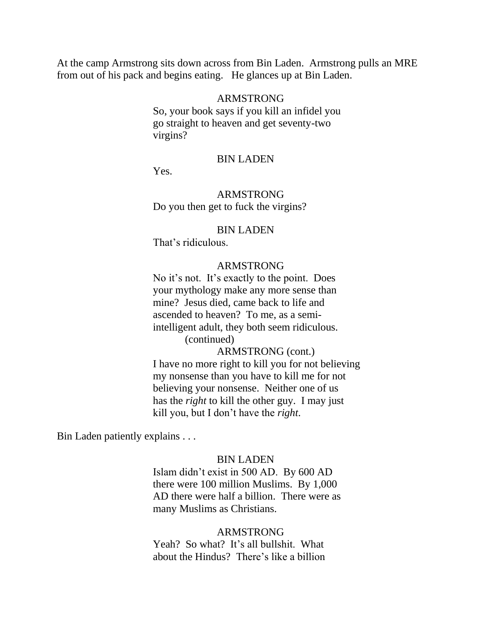At the camp Armstrong sits down across from Bin Laden. Armstrong pulls an MRE from out of his pack and begins eating. He glances up at Bin Laden.

#### ARMSTRONG

 So, your book says if you kill an infidel you go straight to heaven and get seventy-two virgins?

#### BIN LADEN

Yes.

## ARMSTRONG

Do you then get to fuck the virgins?

#### BIN LADEN

That's ridiculous.

#### ARMSTRONG

 No it's not. It's exactly to the point. Does your mythology make any more sense than mine? Jesus died, came back to life and ascended to heaven? To me, as a semi intelligent adult, they both seem ridiculous.

 (continued) ARMSTRONG (cont.) I have no more right to kill you for not believing

 my nonsense than you have to kill me for not believing your nonsense. Neither one of us has the *right* to kill the other guy. I may just kill you, but I don't have the *right*.

Bin Laden patiently explains . . .

#### BIN LADEN

 Islam didn't exist in 500 AD. By 600 AD there were 100 million Muslims. By 1,000 AD there were half a billion. There were as many Muslims as Christians.

#### ARMSTRONG

 Yeah? So what? It's all bullshit. What about the Hindus? There's like a billion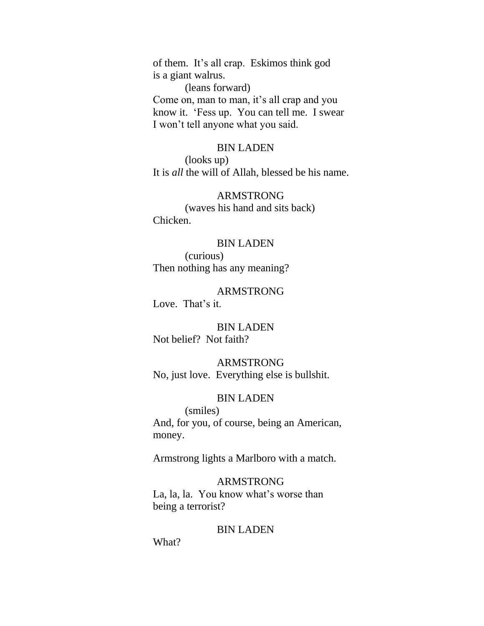of them. It's all crap. Eskimos think god is a giant walrus.

(leans forward)

 Come on, man to man, it's all crap and you know it. 'Fess up. You can tell me. I swear I won't tell anyone what you said.

#### BIN LADEN

 (looks up) It is *all* the will of Allah, blessed be his name.

### ARMSTRONG

 (waves his hand and sits back) Chicken.

### BIN LADEN

 (curious) Then nothing has any meaning?

 ARMSTRONG Love. That's it.

### BIN LADEN Not belief? Not faith?

## ARMSTRONG

No, just love. Everything else is bullshit.

### BIN LADEN

 (smiles) And, for you, of course, being an American, money.

Armstrong lights a Marlboro with a match.

#### ARMSTRONG

 La, la, la. You know what's worse than being a terrorist?

#### BIN LADEN

What?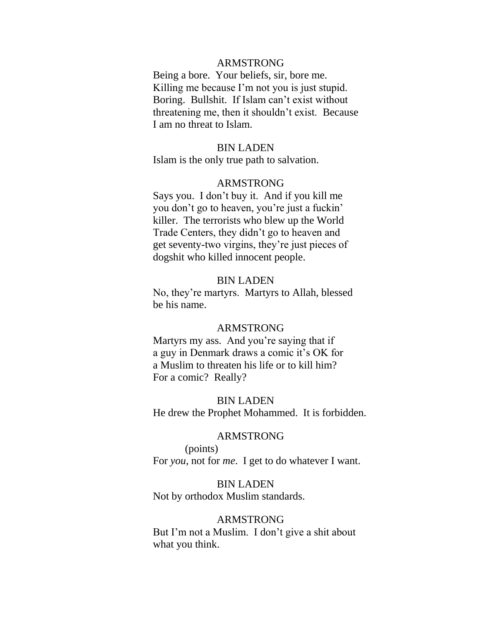### ARMSTRONG

 Being a bore. Your beliefs, sir, bore me. Killing me because I'm not you is just stupid. Boring. Bullshit. If Islam can't exist without threatening me, then it shouldn't exist. Because I am no threat to Islam.

#### BIN LADEN

Islam is the only true path to salvation.

#### ARMSTRONG

 Says you. I don't buy it. And if you kill me you don't go to heaven, you're just a fuckin' killer. The terrorists who blew up the World Trade Centers, they didn't go to heaven and get seventy-two virgins, they're just pieces of dogshit who killed innocent people.

#### BIN LADEN

 No, they're martyrs. Martyrs to Allah, blessed be his name.

#### ARMSTRONG

 Martyrs my ass. And you're saying that if a guy in Denmark draws a comic it's OK for a Muslim to threaten his life or to kill him? For a comic? Really?

#### BIN LADEN

He drew the Prophet Mohammed. It is forbidden.

#### ARMSTRONG

 (points) For *you*, not for *me*. I get to do whatever I want.

### BIN LADEN

Not by orthodox Muslim standards.

#### ARMSTRONG

 But I'm not a Muslim. I don't give a shit about what you think.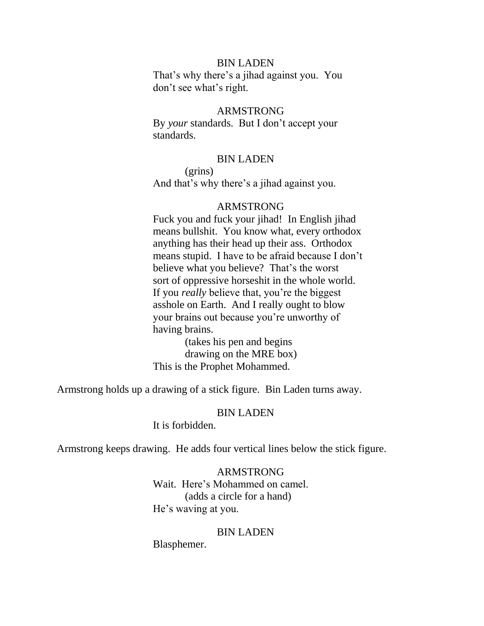### BIN LADEN

 That's why there's a jihad against you. You don't see what's right.

### ARMSTRONG

 By *your* standards. But I don't accept your standards.

#### BIN LADEN

 (grins) And that's why there's a jihad against you.

#### ARMSTRONG

 Fuck you and fuck your jihad! In English jihad means bullshit. You know what, every orthodox anything has their head up their ass. Orthodox means stupid. I have to be afraid because I don't believe what you believe? That's the worst sort of oppressive horseshit in the whole world. If you *really* believe that, you're the biggest asshole on Earth. And I really ought to blow your brains out because you're unworthy of having brains.

 (takes his pen and begins drawing on the MRE box) This is the Prophet Mohammed.

Armstrong holds up a drawing of a stick figure. Bin Laden turns away.

#### BIN LADEN

It is forbidden.

Armstrong keeps drawing. He adds four vertical lines below the stick figure.

 ARMSTRONG Wait. Here's Mohammed on camel. (adds a circle for a hand) He's waving at you.

#### BIN LADEN

Blasphemer.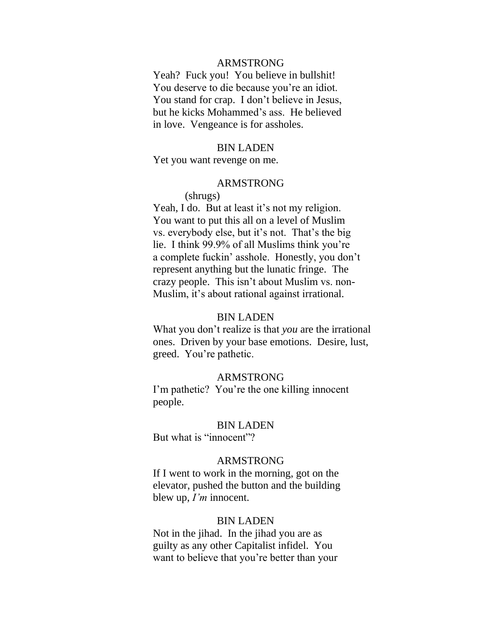#### ARMSTRONG

 Yeah? Fuck you! You believe in bullshit! You deserve to die because you're an idiot. You stand for crap. I don't believe in Jesus, but he kicks Mohammed's ass. He believed in love. Vengeance is for assholes.

#### BIN LADEN

Yet you want revenge on me.

#### ARMSTRONG

#### (shrugs)

Yeah, I do. But at least it's not my religion. You want to put this all on a level of Muslim vs. everybody else, but it's not. That's the big lie. I think 99.9% of all Muslims think you're a complete fuckin' asshole. Honestly, you don't represent anything but the lunatic fringe. The crazy people. This isn't about Muslim vs. non- Muslim, it's about rational against irrational.

#### BIN LADEN

 What you don't realize is that *you* are the irrational ones. Driven by your base emotions. Desire, lust, greed. You're pathetic.

#### ARMSTRONG

 I'm pathetic? You're the one killing innocent people.

#### BIN LADEN

But what is "innocent"?

### ARMSTRONG

 If I went to work in the morning, got on the elevator, pushed the button and the building blew up, *I'm* innocent.

#### BIN LADEN

 Not in the jihad. In the jihad you are as guilty as any other Capitalist infidel. You want to believe that you're better than your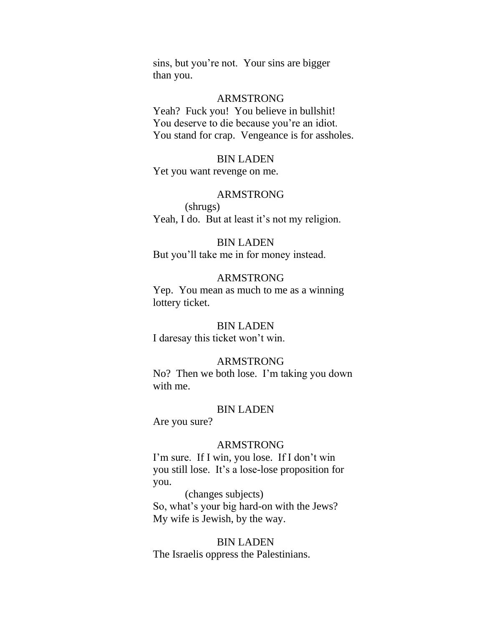sins, but you're not. Your sins are bigger than you.

#### ARMSTRONG

 Yeah? Fuck you! You believe in bullshit! You deserve to die because you're an idiot. You stand for crap. Vengeance is for assholes.

#### BIN LADEN

Yet you want revenge on me.

#### ARMSTRONG

 (shrugs) Yeah, I do. But at least it's not my religion.

#### BIN LADEN

But you'll take me in for money instead.

### ARMSTRONG

 Yep. You mean as much to me as a winning lottery ticket.

### BIN LADEN

I daresay this ticket won't win.

#### ARMSTRONG

 No? Then we both lose. I'm taking you down with me.

#### BIN LADEN

Are you sure?

## ARMSTRONG

 I'm sure. If I win, you lose. If I don't win you still lose. It's a lose-lose proposition for you.

 (changes subjects) So, what's your big hard-on with the Jews? My wife is Jewish, by the way.

#### BIN LADEN

The Israelis oppress the Palestinians.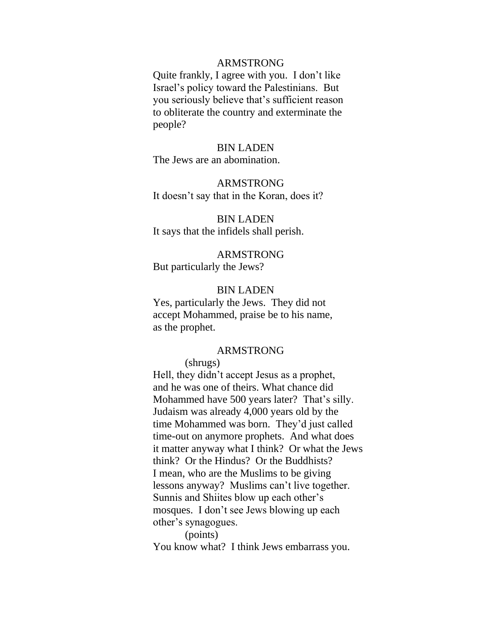#### ARMSTRONG

 Quite frankly, I agree with you. I don't like Israel's policy toward the Palestinians. But you seriously believe that's sufficient reason to obliterate the country and exterminate the people?

#### BIN LADEN

The Jews are an abomination.

## ARMSTRONG

It doesn't say that in the Koran, does it?

### BIN LADEN

It says that the infidels shall perish.

## ARMSTRONG But particularly the Jews?

#### BIN LADEN

 Yes, particularly the Jews. They did not accept Mohammed, praise be to his name, as the prophet.

#### ARMSTRONG

 (shrugs) Hell, they didn't accept Jesus as a prophet, and he was one of theirs. What chance did Mohammed have 500 years later? That's silly. Judaism was already 4,000 years old by the time Mohammed was born. They'd just called time-out on anymore prophets. And what does it matter anyway what I think? Or what the Jews think? Or the Hindus? Or the Buddhists? I mean, who are the Muslims to be giving lessons anyway? Muslims can't live together. Sunnis and Shiites blow up each other's mosques. I don't see Jews blowing up each other's synagogues.

 (points) You know what? I think Jews embarrass you.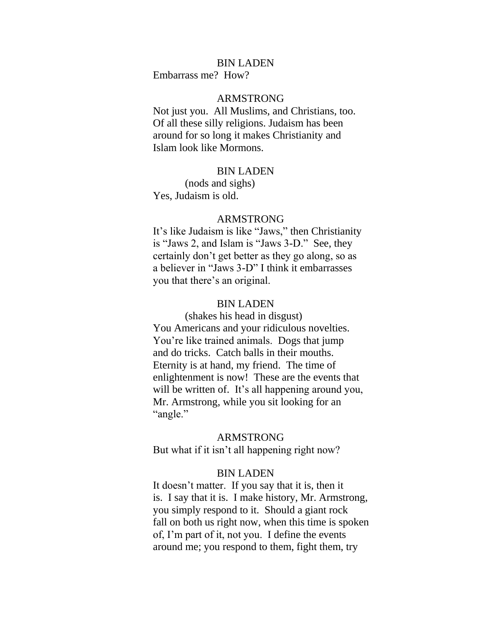#### BIN LADEN

Embarrass me? How?

### ARMSTRONG

 Not just you. All Muslims, and Christians, too. Of all these silly religions. Judaism has been around for so long it makes Christianity and Islam look like Mormons.

#### BIN LADEN

 (nods and sighs) Yes, Judaism is old.

## ARMSTRONG

It's like Judaism is like "Jaws," then Christianity is "Jaws 2, and Islam is "Jaws 3-D." See, they certainly don't get better as they go along, so as a believer in "Jaws 3-D" I think it embarrasses you that there's an original.

### BIN LADEN

 (shakes his head in disgust) You Americans and your ridiculous novelties. You're like trained animals. Dogs that jump and do tricks. Catch balls in their mouths. Eternity is at hand, my friend. The time of enlightenment is now! These are the events that will be written of. It's all happening around you, Mr. Armstrong, while you sit looking for an "angle."

#### ARMSTRONG

But what if it isn't all happening right now?

### BIN LADEN

 It doesn't matter. If you say that it is, then it is. I say that it is. I make history, Mr. Armstrong, you simply respond to it. Should a giant rock fall on both us right now, when this time is spoken of, I'm part of it, not you. I define the events around me; you respond to them, fight them, try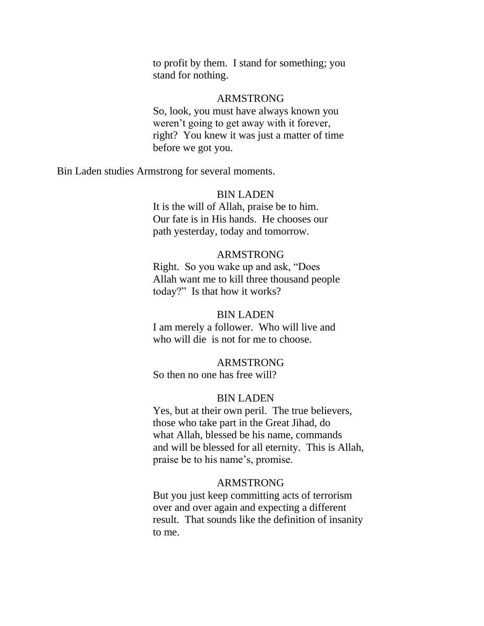to profit by them. I stand for something; you stand for nothing.

#### ARMSTRONG

 So, look, you must have always known you weren't going to get away with it forever, right? You knew it was just a matter of time before we got you.

Bin Laden studies Armstrong for several moments.

#### BIN LADEN

 It is the will of Allah, praise be to him. Our fate is in His hands. He chooses our path yesterday, today and tomorrow.

### ARMSTRONG

Right. So you wake up and ask, "Does" Allah want me to kill three thousand people today?" Is that how it works?

### BIN LADEN

 I am merely a follower. Who will live and who will die is not for me to choose.

### ARMSTRONG

So then no one has free will?

#### BIN LADEN

 Yes, but at their own peril. The true believers, those who take part in the Great Jihad, do what Allah, blessed be his name, commands and will be blessed for all eternity. This is Allah, praise be to his name's, promise.

### ARMSTRONG

 But you just keep committing acts of terrorism over and over again and expecting a different result. That sounds like the definition of insanity to me.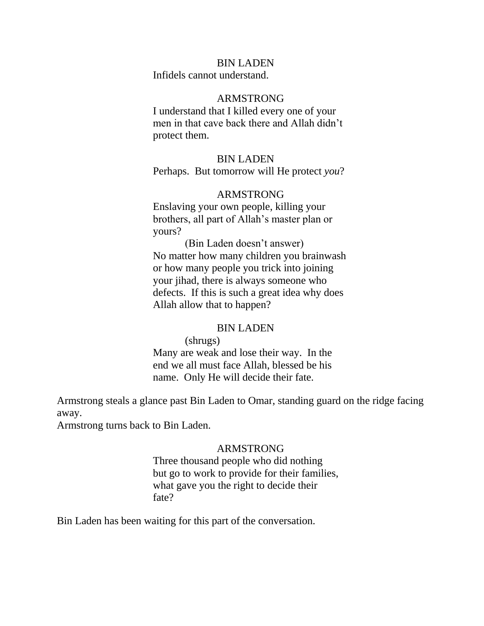### BIN LADEN

Infidels cannot understand.

### ARMSTRONG

 I understand that I killed every one of your men in that cave back there and Allah didn't protect them.

#### BIN LADEN

Perhaps. But tomorrow will He protect *you*?

### ARMSTRONG

 Enslaving your own people, killing your brothers, all part of Allah's master plan or yours?

 (Bin Laden doesn't answer) No matter how many children you brainwash or how many people you trick into joining your jihad, there is always someone who defects. If this is such a great idea why does Allah allow that to happen?

#### BIN LADEN

 (shrugs) Many are weak and lose their way. In the end we all must face Allah, blessed be his name. Only He will decide their fate.

Armstrong steals a glance past Bin Laden to Omar, standing guard on the ridge facing away.

Armstrong turns back to Bin Laden.

## ARMSTRONG

 Three thousand people who did nothing but go to work to provide for their families, what gave you the right to decide their fate?

Bin Laden has been waiting for this part of the conversation.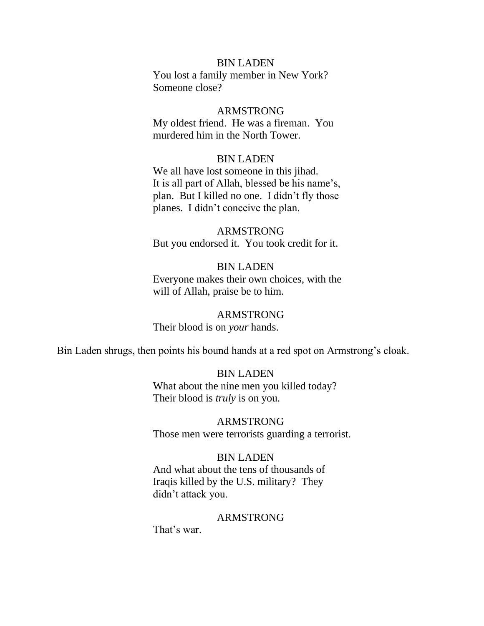### BIN LADEN

 You lost a family member in New York? Someone close?

### ARMSTRONG

 My oldest friend. He was a fireman. You murdered him in the North Tower.

#### BIN LADEN

 We all have lost someone in this jihad. It is all part of Allah, blessed be his name's, plan. But I killed no one. I didn't fly those planes. I didn't conceive the plan.

## ARMSTRONG But you endorsed it. You took credit for it.

## BIN LADEN Everyone makes their own choices, with the will of Allah, praise be to him.

## ARMSTRONG

## Their blood is on *your* hands.

Bin Laden shrugs, then points his bound hands at a red spot on Armstrong's cloak.

#### BIN LADEN

 What about the nine men you killed today? Their blood is *truly* is on you.

#### ARMSTRONG

Those men were terrorists guarding a terrorist.

#### BIN LADEN

 And what about the tens of thousands of Iraqis killed by the U.S. military? They didn't attack you.

#### ARMSTRONG

That's war.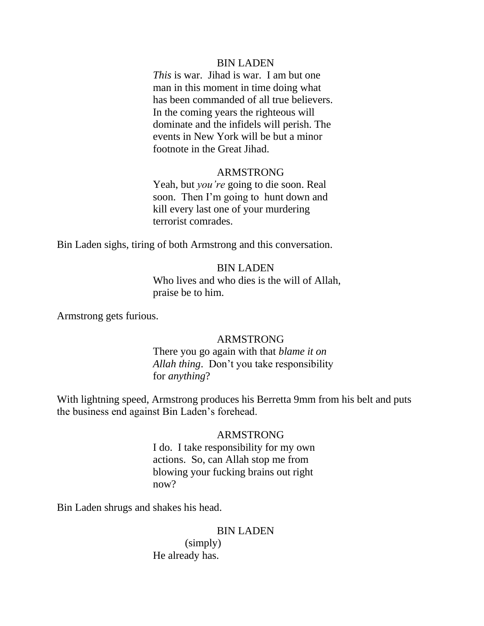### BIN LADEN

 *This* is war. Jihad is war. I am but one man in this moment in time doing what has been commanded of all true believers. In the coming years the righteous will dominate and the infidels will perish. The events in New York will be but a minor footnote in the Great Jihad.

### ARMSTRONG

 Yeah, but *you're* going to die soon. Real soon. Then I'm going to hunt down and kill every last one of your murdering terrorist comrades.

Bin Laden sighs, tiring of both Armstrong and this conversation.

### BIN LADEN

 Who lives and who dies is the will of Allah, praise be to him.

Armstrong gets furious.

## ARMSTRONG

 There you go again with that *blame it on Allah thing*. Don't you take responsibility for *anything*?

With lightning speed, Armstrong produces his Berretta 9mm from his belt and puts the business end against Bin Laden's forehead.

## ARMSTRONG

 I do. I take responsibility for my own actions. So, can Allah stop me from blowing your fucking brains out right now?

Bin Laden shrugs and shakes his head.

### BIN LADEN

 (simply) He already has.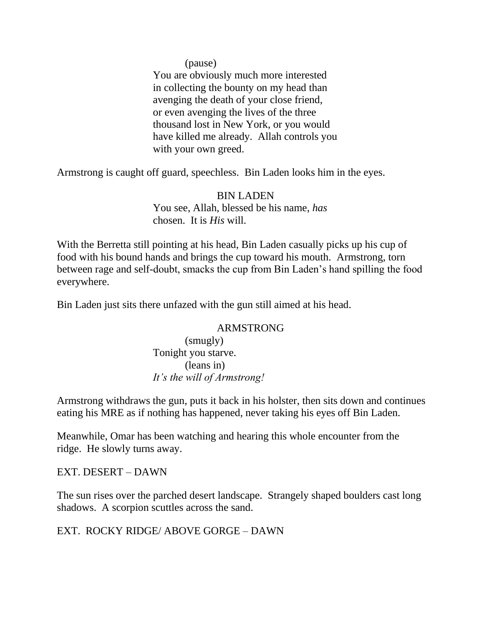## (pause)

 You are obviously much more interested in collecting the bounty on my head than avenging the death of your close friend, or even avenging the lives of the three thousand lost in New York, or you would have killed me already. Allah controls you with your own greed.

Armstrong is caught off guard, speechless. Bin Laden looks him in the eyes.

## BIN LADEN

 You see, Allah, blessed be his name, *has* chosen. It is *His* will.

With the Berretta still pointing at his head, Bin Laden casually picks up his cup of food with his bound hands and brings the cup toward his mouth. Armstrong, torn between rage and self-doubt, smacks the cup from Bin Laden's hand spilling the food everywhere.

Bin Laden just sits there unfazed with the gun still aimed at his head.

## ARMSTRONG

 (smugly) Tonight you starve. (leans in)  *It's the will of Armstrong!*

Armstrong withdraws the gun, puts it back in his holster, then sits down and continues eating his MRE as if nothing has happened, never taking his eyes off Bin Laden.

Meanwhile, Omar has been watching and hearing this whole encounter from the ridge. He slowly turns away.

## EXT. DESERT – DAWN

The sun rises over the parched desert landscape. Strangely shaped boulders cast long shadows. A scorpion scuttles across the sand.

EXT. ROCKY RIDGE/ ABOVE GORGE – DAWN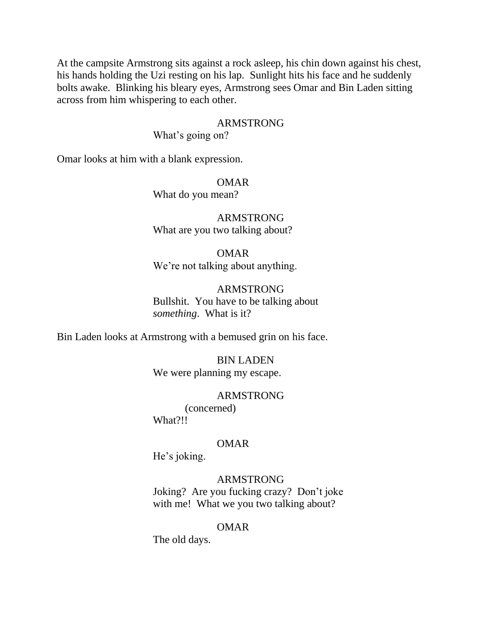At the campsite Armstrong sits against a rock asleep, his chin down against his chest, his hands holding the Uzi resting on his lap. Sunlight hits his face and he suddenly bolts awake. Blinking his bleary eyes, Armstrong sees Omar and Bin Laden sitting across from him whispering to each other.

### ARMSTRONG

What's going on?

Omar looks at him with a blank expression.

 OMAR What do you mean?

 ARMSTRONG What are you two talking about?

 OMAR We're not talking about anything.

 ARMSTRONG Bullshit. You have to be talking about  *something*. What is it?

Bin Laden looks at Armstrong with a bemused grin on his face.

 BIN LADEN We were planning my escape.

 ARMSTRONG (concerned) What?!!

### OMAR

He's joking.

ARMSTRONG

 Joking? Are you fucking crazy? Don't joke with me! What we you two talking about?

## OMAR

The old days.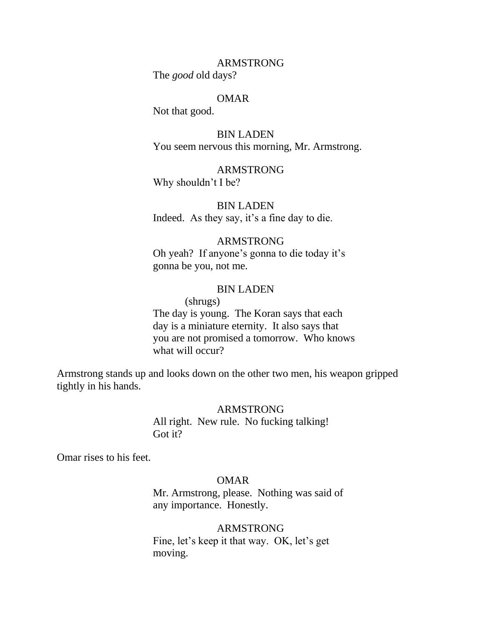The *good* old days?

#### OMAR

Not that good.

 BIN LADEN You seem nervous this morning, Mr. Armstrong.

 ARMSTRONG Why shouldn't I be?

 BIN LADEN Indeed. As they say, it's a fine day to die.

## ARMSTRONG

 Oh yeah? If anyone's gonna to die today it's gonna be you, not me.

### BIN LADEN

## (shrugs)

 The day is young. The Koran says that each day is a miniature eternity. It also says that you are not promised a tomorrow. Who knows what will occur?

Armstrong stands up and looks down on the other two men, his weapon gripped tightly in his hands.

#### ARMSTRONG

 All right. New rule. No fucking talking! Got it?

Omar rises to his feet.

### OMAR

 Mr. Armstrong, please. Nothing was said of any importance. Honestly.

## ARMSTRONG

 Fine, let's keep it that way. OK, let's get moving.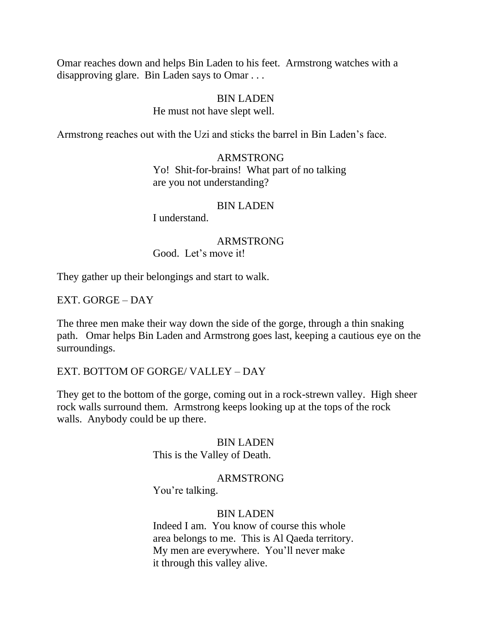Omar reaches down and helps Bin Laden to his feet. Armstrong watches with a disapproving glare. Bin Laden says to Omar . . .

## BIN LADEN

### He must not have slept well.

Armstrong reaches out with the Uzi and sticks the barrel in Bin Laden's face.

# ARMSTRONG

 Yo! Shit-for-brains! What part of no talking are you not understanding?

### BIN LADEN

I understand.

## ARMSTRONG

Good. Let's move it!

They gather up their belongings and start to walk.

EXT. GORGE – DAY

The three men make their way down the side of the gorge, through a thin snaking path. Omar helps Bin Laden and Armstrong goes last, keeping a cautious eye on the surroundings.

EXT. BOTTOM OF GORGE/ VALLEY – DAY

They get to the bottom of the gorge, coming out in a rock-strewn valley. High sheer rock walls surround them. Armstrong keeps looking up at the tops of the rock walls. Anybody could be up there.

## BIN LADEN

This is the Valley of Death.

## ARMSTRONG

You're talking.

## BIN LADEN

 Indeed I am. You know of course this whole area belongs to me. This is Al Qaeda territory. My men are everywhere. You'll never make it through this valley alive.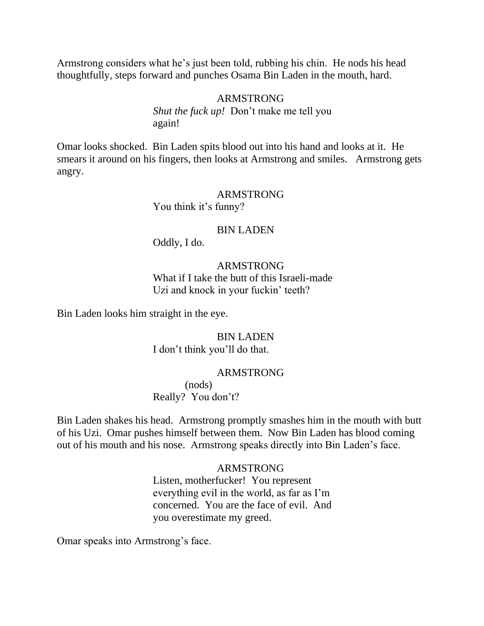Armstrong considers what he's just been told, rubbing his chin. He nods his head thoughtfully, steps forward and punches Osama Bin Laden in the mouth, hard.

### ARMSTRONG

*Shut the fuck up!* Don't make me tell you again!

Omar looks shocked. Bin Laden spits blood out into his hand and looks at it. He smears it around on his fingers, then looks at Armstrong and smiles. Armstrong gets angry.

#### ARMSTRONG

You think it's funny?

### BIN LADEN

Oddly, I do.

### ARMSTRONG

 What if I take the butt of this Israeli-made Uzi and knock in your fuckin' teeth?

Bin Laden looks him straight in the eye.

 BIN LADEN I don't think you'll do that.

### ARMSTRONG

 (nods) Really? You don't?

Bin Laden shakes his head. Armstrong promptly smashes him in the mouth with butt of his Uzi. Omar pushes himself between them. Now Bin Laden has blood coming out of his mouth and his nose. Armstrong speaks directly into Bin Laden's face.

### ARMSTRONG

 Listen, motherfucker! You represent everything evil in the world, as far as I'm concerned. You are the face of evil. And you overestimate my greed.

Omar speaks into Armstrong's face.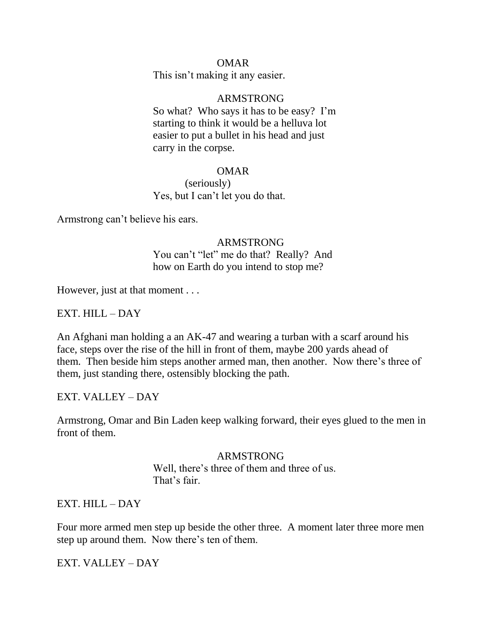## OMAR

This isn't making it any easier.

### ARMSTRONG

 So what? Who says it has to be easy? I'm starting to think it would be a helluva lot easier to put a bullet in his head and just carry in the corpse.

### OMAR

 (seriously) Yes, but I can't let you do that.

Armstrong can't believe his ears.

## ARMSTRONG

You can't "let" me do that? Really? And how on Earth do you intend to stop me?

However, just at that moment . . .

## EXT. HILL – DAY

An Afghani man holding a an AK-47 and wearing a turban with a scarf around his face, steps over the rise of the hill in front of them, maybe 200 yards ahead of them. Then beside him steps another armed man, then another. Now there's three of them, just standing there, ostensibly blocking the path.

EXT. VALLEY – DAY

Armstrong, Omar and Bin Laden keep walking forward, their eyes glued to the men in front of them.

### ARMSTRONG

 Well, there's three of them and three of us. That's fair.

EXT. HILL – DAY

Four more armed men step up beside the other three. A moment later three more men step up around them. Now there's ten of them.

EXT. VALLEY – DAY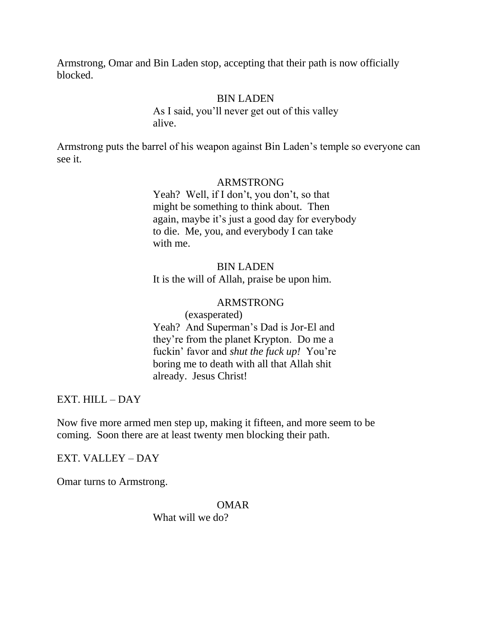Armstrong, Omar and Bin Laden stop, accepting that their path is now officially blocked.

## BIN LADEN

 As I said, you'll never get out of this valley alive.

Armstrong puts the barrel of his weapon against Bin Laden's temple so everyone can see it.

### ARMSTRONG

 Yeah? Well, if I don't, you don't, so that might be something to think about. Then again, maybe it's just a good day for everybody to die. Me, you, and everybody I can take with me.

### BIN LADEN

It is the will of Allah, praise be upon him.

### ARMSTRONG

 (exasperated) Yeah? And Superman's Dad is Jor-El and they're from the planet Krypton. Do me a fuckin' favor and *shut the fuck up!* You're boring me to death with all that Allah shit already. Jesus Christ!

## EXT. HILL – DAY

Now five more armed men step up, making it fifteen, and more seem to be coming. Soon there are at least twenty men blocking their path.

EXT. VALLEY – DAY

Omar turns to Armstrong.

## OMAR

What will we do?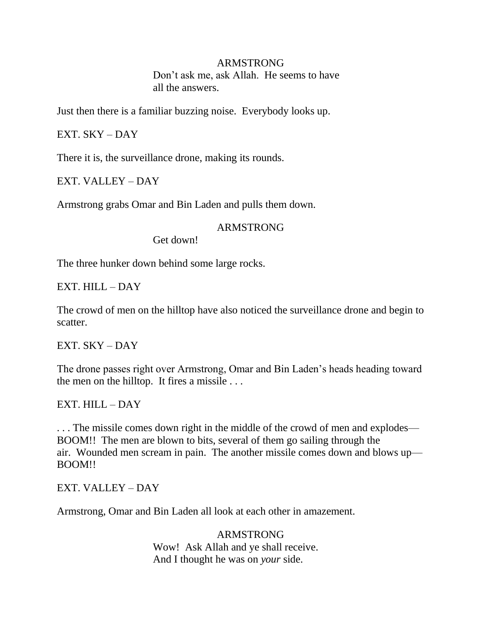Don't ask me, ask Allah. He seems to have all the answers.

Just then there is a familiar buzzing noise. Everybody looks up.

EXT. SKY – DAY

There it is, the surveillance drone, making its rounds.

EXT. VALLEY – DAY

Armstrong grabs Omar and Bin Laden and pulls them down.

## ARMSTRONG

Get down!

The three hunker down behind some large rocks.

EXT. HILL – DAY

The crowd of men on the hilltop have also noticed the surveillance drone and begin to scatter.

EXT. SKY – DAY

The drone passes right over Armstrong, Omar and Bin Laden's heads heading toward the men on the hilltop. It fires a missile . . .

EXT. HILL – DAY

. . . The missile comes down right in the middle of the crowd of men and explodes— BOOM!! The men are blown to bits, several of them go sailing through the air. Wounded men scream in pain. The another missile comes down and blows up— BOOM!!

EXT. VALLEY – DAY

Armstrong, Omar and Bin Laden all look at each other in amazement.

 ARMSTRONG Wow! Ask Allah and ye shall receive. And I thought he was on *your* side.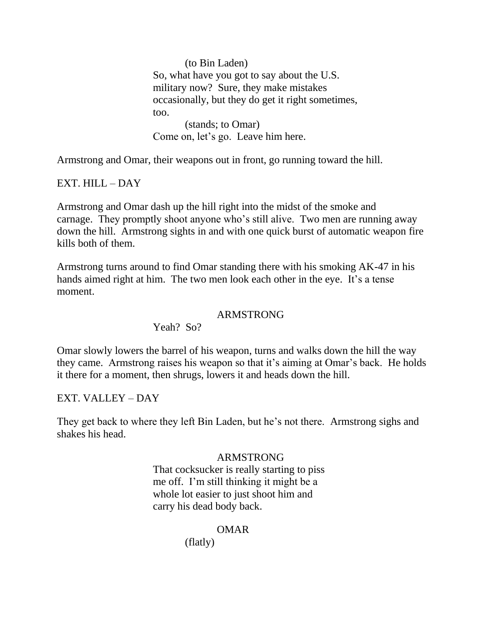(to Bin Laden) So, what have you got to say about the U.S. military now? Sure, they make mistakes occasionally, but they do get it right sometimes, too. (stands; to Omar) Come on, let's go. Leave him here.

Armstrong and Omar, their weapons out in front, go running toward the hill.

EXT. HILL – DAY

Armstrong and Omar dash up the hill right into the midst of the smoke and carnage. They promptly shoot anyone who's still alive. Two men are running away down the hill. Armstrong sights in and with one quick burst of automatic weapon fire kills both of them.

Armstrong turns around to find Omar standing there with his smoking AK-47 in his hands aimed right at him. The two men look each other in the eye. It's a tense moment.

## ARMSTRONG

Yeah? So?

Omar slowly lowers the barrel of his weapon, turns and walks down the hill the way they came. Armstrong raises his weapon so that it's aiming at Omar's back. He holds it there for a moment, then shrugs, lowers it and heads down the hill.

EXT. VALLEY – DAY

They get back to where they left Bin Laden, but he's not there. Armstrong sighs and shakes his head.

## ARMSTRONG

 That cocksucker is really starting to piss me off. I'm still thinking it might be a whole lot easier to just shoot him and carry his dead body back.

## OMAR

(flatly)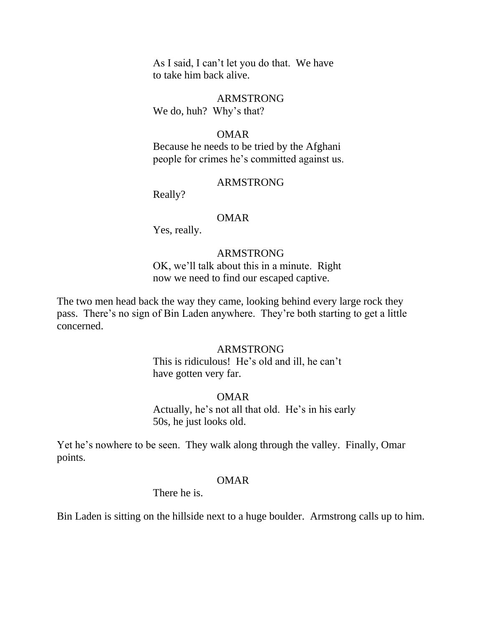As I said, I can't let you do that. We have to take him back alive.

 ARMSTRONG We do, huh? Why's that?

### OMAR

 Because he needs to be tried by the Afghani people for crimes he's committed against us.

### ARMSTRONG

Really?

### OMAR

Yes, really.

## ARMSTRONG

 OK, we'll talk about this in a minute. Right now we need to find our escaped captive.

The two men head back the way they came, looking behind every large rock they pass. There's no sign of Bin Laden anywhere. They're both starting to get a little concerned.

## ARMSTRONG

 This is ridiculous! He's old and ill, he can't have gotten very far.

## OMAR

 Actually, he's not all that old. He's in his early 50s, he just looks old.

Yet he's nowhere to be seen. They walk along through the valley. Finally, Omar points.

### OMAR

There he is.

Bin Laden is sitting on the hillside next to a huge boulder. Armstrong calls up to him.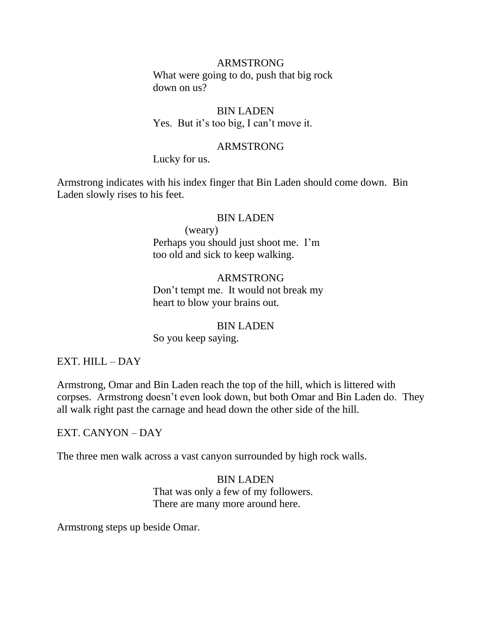What were going to do, push that big rock down on us?

## BIN LADEN Yes. But it's too big, I can't move it.

## ARMSTRONG

Lucky for us.

Armstrong indicates with his index finger that Bin Laden should come down. Bin Laden slowly rises to his feet.

### BIN LADEN

 (weary) Perhaps you should just shoot me. I'm too old and sick to keep walking.

## ARMSTRONG Don't tempt me. It would not break my heart to blow your brains out.

### BIN LADEN

So you keep saying.

## EXT. HILL – DAY

Armstrong, Omar and Bin Laden reach the top of the hill, which is littered with corpses. Armstrong doesn't even look down, but both Omar and Bin Laden do. They all walk right past the carnage and head down the other side of the hill.

## EXT. CANYON – DAY

The three men walk across a vast canyon surrounded by high rock walls.

# BIN LADEN

 That was only a few of my followers. There are many more around here.

Armstrong steps up beside Omar.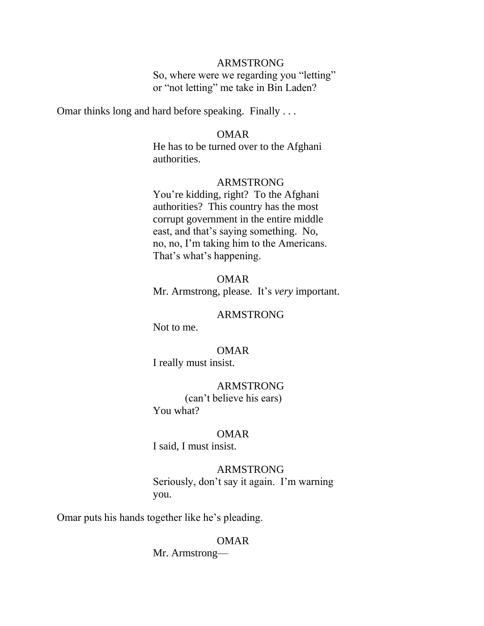So, where were we regarding you "letting" or "not letting" me take in Bin Laden?

Omar thinks long and hard before speaking. Finally . . .

### OMAR

 He has to be turned over to the Afghani authorities.

### ARMSTRONG

 You're kidding, right? To the Afghani authorities? This country has the most corrupt government in the entire middle east, and that's saying something. No, no, no, I'm taking him to the Americans. That's what's happening.

## OMAR Mr. Armstrong, please. It's *very* important.

### ARMSTRONG

Not to me.

### OMAR

I really must insist.

## ARMSTRONG

 (can't believe his ears) You what?

### OMAR

I said, I must insist.

## ARMSTRONG

 Seriously, don't say it again. I'm warning you.

Omar puts his hands together like he's pleading.

## OMAR

Mr. Armstrong—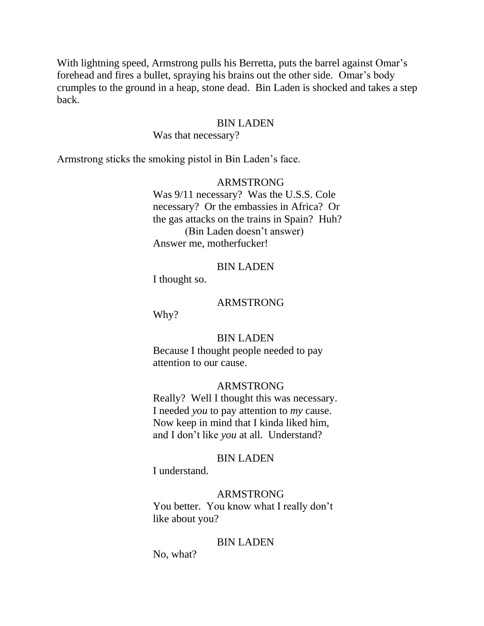With lightning speed, Armstrong pulls his Berretta, puts the barrel against Omar's forehead and fires a bullet, spraying his brains out the other side. Omar's body crumples to the ground in a heap, stone dead. Bin Laden is shocked and takes a step back.

### BIN LADEN

Was that necessary?

Armstrong sticks the smoking pistol in Bin Laden's face.

## ARMSTRONG

 Was 9/11 necessary? Was the U.S.S. Cole necessary? Or the embassies in Africa? Or the gas attacks on the trains in Spain? Huh? (Bin Laden doesn't answer) Answer me, motherfucker!

## BIN LADEN

I thought so.

### ARMSTRONG

Why?

### BIN LADEN

 Because I thought people needed to pay attention to our cause.

### ARMSTRONG

 Really? Well I thought this was necessary. I needed *you* to pay attention to *my* cause. Now keep in mind that I kinda liked him, and I don't like *you* at all. Understand?

### BIN LADEN

I understand.

### ARMSTRONG

 You better. You know what I really don't like about you?

### BIN LADEN

No, what?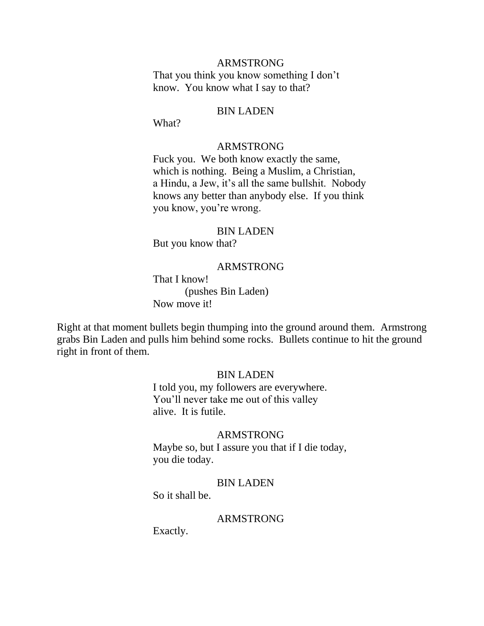That you think you know something I don't know. You know what I say to that?

#### BIN LADEN

What?

#### ARMSTRONG

 Fuck you. We both know exactly the same, which is nothing. Being a Muslim, a Christian, a Hindu, a Jew, it's all the same bullshit. Nobody knows any better than anybody else. If you think you know, you're wrong.

### BIN LADEN

But you know that?

### ARMSTRONG

 That I know! (pushes Bin Laden) Now move it!

Right at that moment bullets begin thumping into the ground around them. Armstrong grabs Bin Laden and pulls him behind some rocks. Bullets continue to hit the ground right in front of them.

### BIN LADEN

 I told you, my followers are everywhere. You'll never take me out of this valley alive. It is futile.

### ARMSTRONG

 Maybe so, but I assure you that if I die today, you die today.

### BIN LADEN

So it shall be.

## ARMSTRONG

Exactly.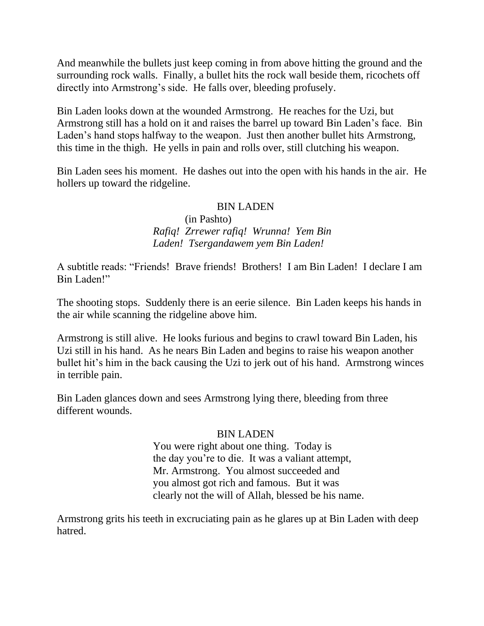And meanwhile the bullets just keep coming in from above hitting the ground and the surrounding rock walls. Finally, a bullet hits the rock wall beside them, ricochets off directly into Armstrong's side. He falls over, bleeding profusely.

Bin Laden looks down at the wounded Armstrong. He reaches for the Uzi, but Armstrong still has a hold on it and raises the barrel up toward Bin Laden's face. Bin Laden's hand stops halfway to the weapon. Just then another bullet hits Armstrong, this time in the thigh. He yells in pain and rolls over, still clutching his weapon.

Bin Laden sees his moment. He dashes out into the open with his hands in the air. He hollers up toward the ridgeline.

## BIN LADEN

 (in Pashto) *Rafiq! Zrrewer rafiq! Wrunna! Yem Bin Laden! Tsergandawem yem Bin Laden!*

A subtitle reads: ―Friends! Brave friends! Brothers! I am Bin Laden! I declare I am Bin Laden!"

The shooting stops. Suddenly there is an eerie silence. Bin Laden keeps his hands in the air while scanning the ridgeline above him.

Armstrong is still alive. He looks furious and begins to crawl toward Bin Laden, his Uzi still in his hand. As he nears Bin Laden and begins to raise his weapon another bullet hit's him in the back causing the Uzi to jerk out of his hand. Armstrong winces in terrible pain.

Bin Laden glances down and sees Armstrong lying there, bleeding from three different wounds.

## BIN LADEN

 You were right about one thing. Today is the day you're to die. It was a valiant attempt, Mr. Armstrong. You almost succeeded and you almost got rich and famous. But it was clearly not the will of Allah, blessed be his name.

Armstrong grits his teeth in excruciating pain as he glares up at Bin Laden with deep hatred.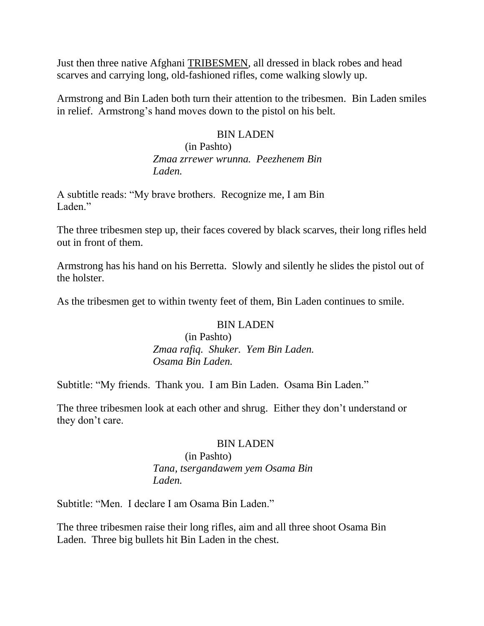Just then three native Afghani TRIBESMEN, all dressed in black robes and head scarves and carrying long, old-fashioned rifles, come walking slowly up.

Armstrong and Bin Laden both turn their attention to the tribesmen. Bin Laden smiles in relief. Armstrong's hand moves down to the pistol on his belt.

## BIN LADEN

 (in Pashto)  *Zmaa zrrewer wrunna. Peezhenem Bin Laden.*

A subtitle reads: "My brave brothers. Recognize me, I am Bin Laden."

The three tribesmen step up, their faces covered by black scarves, their long rifles held out in front of them.

Armstrong has his hand on his Berretta. Slowly and silently he slides the pistol out of the holster.

As the tribesmen get to within twenty feet of them, Bin Laden continues to smile.

## BIN LADEN

 (in Pashto)  *Zmaa rafiq. Shuker. Yem Bin Laden. Osama Bin Laden.*

Subtitle: "My friends. Thank you. I am Bin Laden. Osama Bin Laden."

The three tribesmen look at each other and shrug. Either they don't understand or they don't care.

## BIN LADEN

## (in Pashto) *Tana, tsergandawem yem Osama Bin Laden.*

Subtitle: "Men. I declare I am Osama Bin Laden."

The three tribesmen raise their long rifles, aim and all three shoot Osama Bin Laden. Three big bullets hit Bin Laden in the chest.